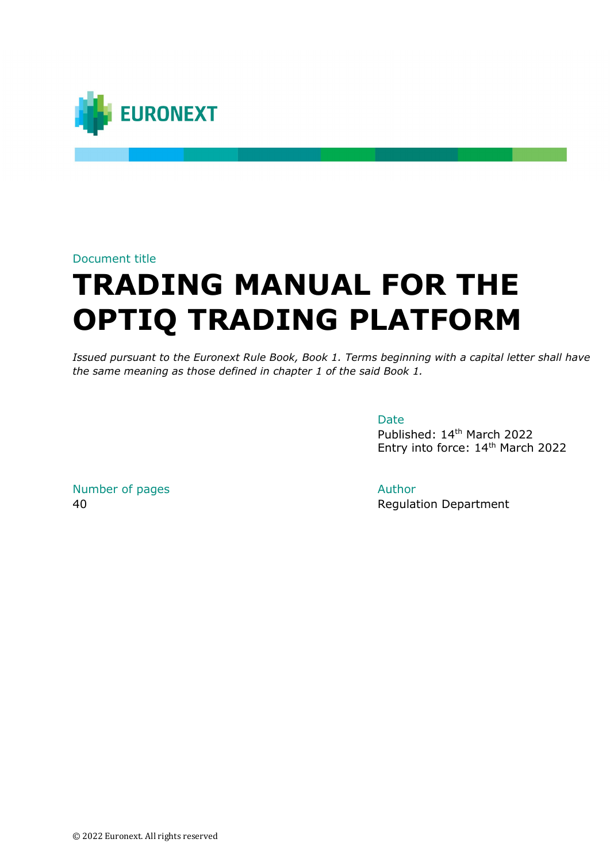

#### Document title

# **TRADING MANUAL FOR THE OPTIQ TRADING PLATFORM**

*Issued pursuant to the Euronext Rule Book, Book 1. Terms beginning with a capital letter shall have the same meaning as those defined in chapter 1 of the said Book 1.*

Date

Published: 14th March 2022 Entry into force: 14th March 2022

Number of pages and a set of the Author Author

40 Regulation Department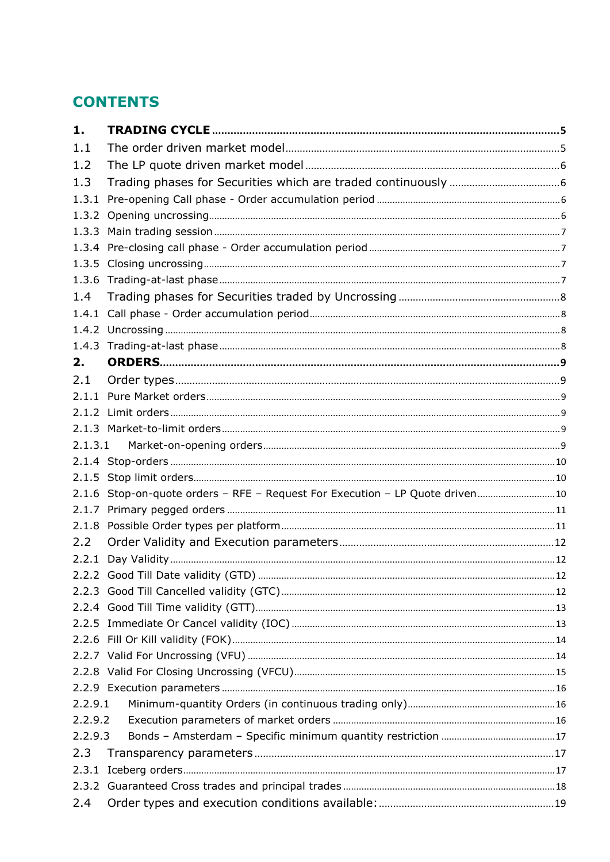# **CONTENTS**

| 1.      |                                                                               |  |
|---------|-------------------------------------------------------------------------------|--|
| 1.1     |                                                                               |  |
| 1.2     |                                                                               |  |
| 1.3     |                                                                               |  |
| 1.3.1   |                                                                               |  |
|         |                                                                               |  |
|         |                                                                               |  |
|         |                                                                               |  |
|         |                                                                               |  |
|         |                                                                               |  |
| 1.4     |                                                                               |  |
|         |                                                                               |  |
|         |                                                                               |  |
|         |                                                                               |  |
| 2.      |                                                                               |  |
| 2.1     |                                                                               |  |
|         |                                                                               |  |
|         |                                                                               |  |
|         |                                                                               |  |
|         |                                                                               |  |
|         |                                                                               |  |
|         |                                                                               |  |
|         | 2.1.6 Stop-on-quote orders - RFE - Request For Execution - LP Quote driven 10 |  |
|         |                                                                               |  |
|         |                                                                               |  |
| 2.2     |                                                                               |  |
| 2.2.1   |                                                                               |  |
|         |                                                                               |  |
|         |                                                                               |  |
|         |                                                                               |  |
|         |                                                                               |  |
|         |                                                                               |  |
|         |                                                                               |  |
|         |                                                                               |  |
|         |                                                                               |  |
| 2.2.9.1 |                                                                               |  |
| 2.2.9.2 |                                                                               |  |
| 2.2.9.3 |                                                                               |  |
| 2.3     |                                                                               |  |
|         |                                                                               |  |
|         |                                                                               |  |
| 2.4     |                                                                               |  |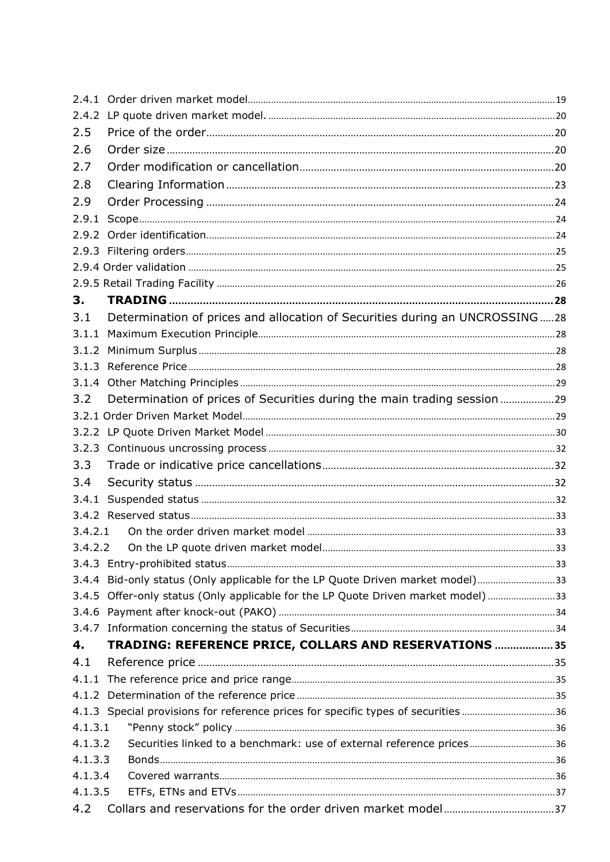| 2.5     |                                                                                   |  |
|---------|-----------------------------------------------------------------------------------|--|
| 2.6     |                                                                                   |  |
| 2.7     |                                                                                   |  |
| 2.8     |                                                                                   |  |
| 2.9     |                                                                                   |  |
| 2.9.1   |                                                                                   |  |
|         |                                                                                   |  |
|         |                                                                                   |  |
|         |                                                                                   |  |
|         |                                                                                   |  |
| З.      |                                                                                   |  |
| 3.1     | Determination of prices and allocation of Securities during an UNCROSSING28       |  |
| 3.1.1   |                                                                                   |  |
|         |                                                                                   |  |
|         |                                                                                   |  |
|         |                                                                                   |  |
| 3.2     | Determination of prices of Securities during the main trading session 29          |  |
|         |                                                                                   |  |
|         |                                                                                   |  |
|         |                                                                                   |  |
| 3.3     |                                                                                   |  |
| 3.4     |                                                                                   |  |
| 3.4.1   |                                                                                   |  |
|         |                                                                                   |  |
| 3.4.2.1 |                                                                                   |  |
| 3.4.2.2 |                                                                                   |  |
|         |                                                                                   |  |
|         | 3.4.4 Bid-only status (Only applicable for the LP Quote Driven market model)33    |  |
|         | 3.4.5 Offer-only status (Only applicable for the LP Quote Driven market model) 33 |  |
|         |                                                                                   |  |
|         |                                                                                   |  |
| 4.      | TRADING: REFERENCE PRICE, COLLARS AND RESERVATIONS  35                            |  |
| 4.1     |                                                                                   |  |
|         |                                                                                   |  |
|         |                                                                                   |  |
|         | 4.1.3 Special provisions for reference prices for specific types of securities 36 |  |
| 4.1.3.1 |                                                                                   |  |
| 4.1.3.2 | Securities linked to a benchmark: use of external reference prices36              |  |
| 4.1.3.3 |                                                                                   |  |
| 4.1.3.4 |                                                                                   |  |
| 4.1.3.5 |                                                                                   |  |
| 4.2     |                                                                                   |  |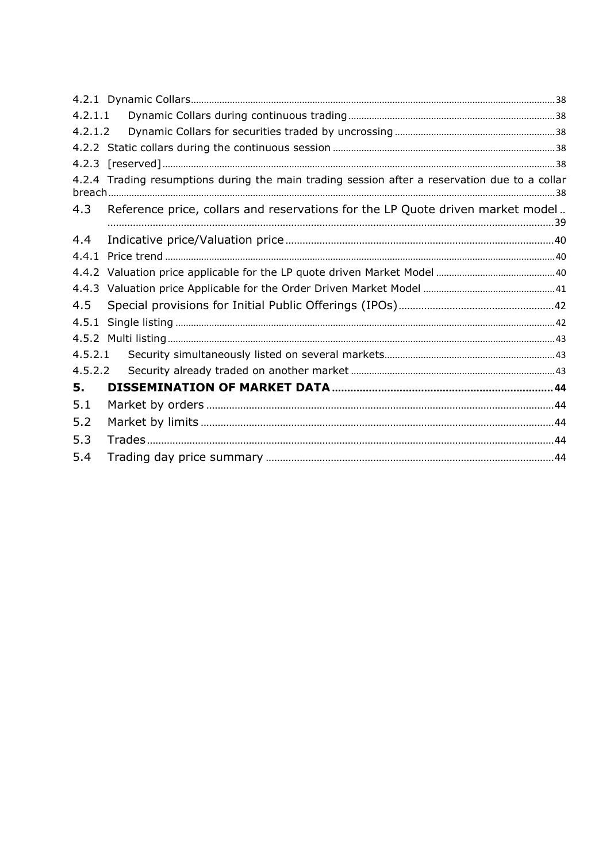| 4.2.1.1 |                                                                                               |  |
|---------|-----------------------------------------------------------------------------------------------|--|
| 4.2.1.2 |                                                                                               |  |
|         |                                                                                               |  |
|         |                                                                                               |  |
|         | 4.2.4 Trading resumptions during the main trading session after a reservation due to a collar |  |
| 4.3     | Reference price, collars and reservations for the LP Quote driven market model                |  |
| 4.4     |                                                                                               |  |
| 4.4.1   |                                                                                               |  |
|         |                                                                                               |  |
|         |                                                                                               |  |
| 4.5     |                                                                                               |  |
| 4.5.1   |                                                                                               |  |
|         |                                                                                               |  |
| 4.5.2.1 |                                                                                               |  |
| 4.5.2.2 |                                                                                               |  |
| 5.      |                                                                                               |  |
| 5.1     |                                                                                               |  |
| 5.2     |                                                                                               |  |
| 5.3     |                                                                                               |  |
| 5.4     |                                                                                               |  |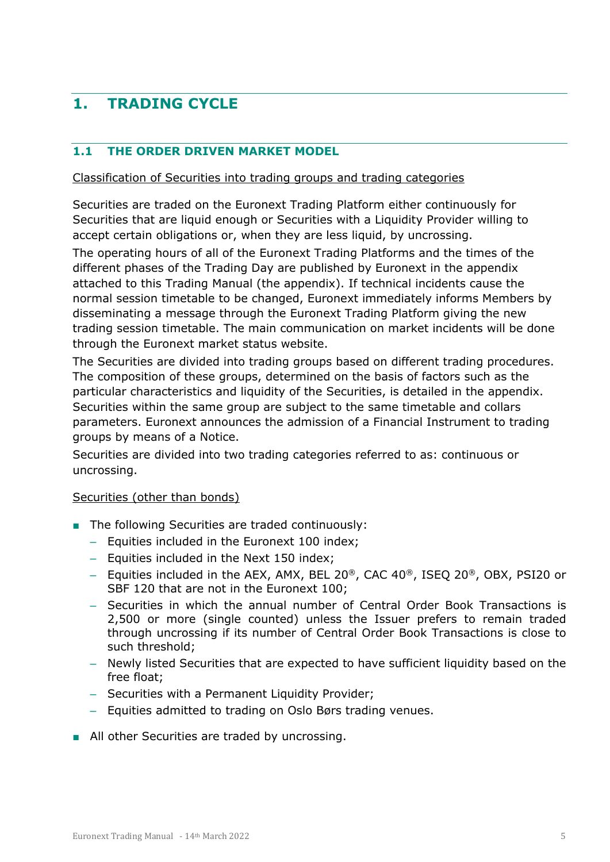# <span id="page-4-0"></span>**1. TRADING CYCLE**

#### <span id="page-4-1"></span>**1.1 THE ORDER DRIVEN MARKET MODEL**

#### Classification of Securities into trading groups and trading categories

Securities are traded on the Euronext Trading Platform either continuously for Securities that are liquid enough or Securities with a Liquidity Provider willing to accept certain obligations or, when they are less liquid, by uncrossing.

The operating hours of all of the Euronext Trading Platforms and the times of the different phases of the Trading Day are published by Euronext in the appendix attached to this Trading Manual (the appendix). If technical incidents cause the normal session timetable to be changed, Euronext immediately informs Members by disseminating a message through the Euronext Trading Platform giving the new trading session timetable. The main communication on market incidents will be done through the Euronext market status website.

The Securities are divided into trading groups based on different trading procedures. The composition of these groups, determined on the basis of factors such as the particular characteristics and liquidity of the Securities, is detailed in the appendix. Securities within the same group are subject to the same timetable and collars parameters. Euronext announces the admission of a Financial Instrument to trading groups by means of a Notice.

Securities are divided into two trading categories referred to as: continuous or uncrossing.

#### Securities (other than bonds)

- The following Securities are traded continuously:
	- Equities included in the Euronext 100 index;
	- Equities included in the Next 150 index;
	- Equities included in the AEX, AMX, BEL 20®, CAC 40®, ISEQ 20®, OBX, PSI20 or SBF 120 that are not in the Euronext 100;
	- Securities in which the annual number of Central Order Book Transactions is 2,500 or more (single counted) unless the Issuer prefers to remain traded through uncrossing if its number of Central Order Book Transactions is close to such threshold;
	- Newly listed Securities that are expected to have sufficient liquidity based on the free float;
	- Securities with a Permanent Liquidity Provider;
	- Equities admitted to trading on Oslo Børs trading venues.
- All other Securities are traded by uncrossing.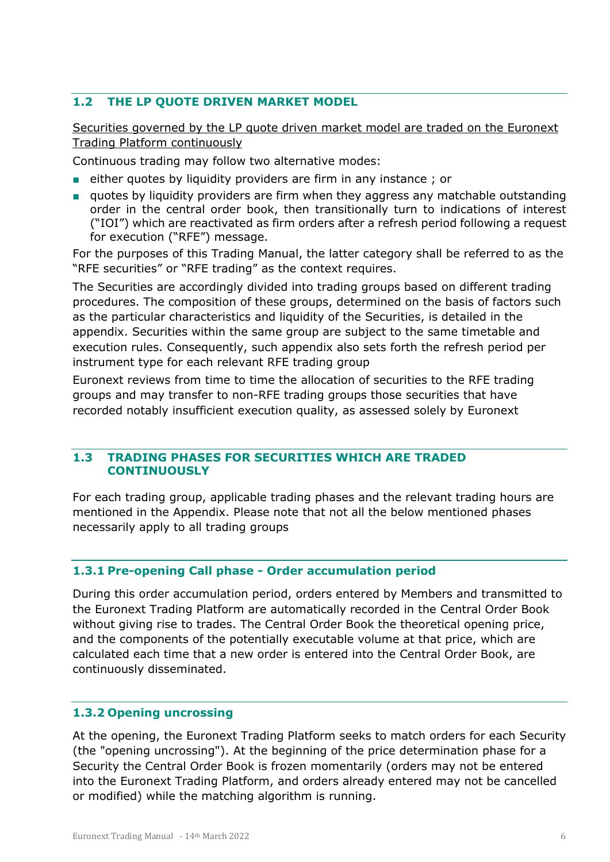#### <span id="page-5-0"></span>**1.2 THE LP QUOTE DRIVEN MARKET MODEL**

Securities governed by the LP quote driven market model are traded on the Euronext Trading Platform continuously

Continuous trading may follow two alternative modes:

- either quotes by liquidity providers are firm in any instance; or
- quotes by liquidity providers are firm when they aggress any matchable outstanding order in the central order book, then transitionally turn to indications of interest ("IOI") which are reactivated as firm orders after a refresh period following a request for execution ("RFE") message.

For the purposes of this Trading Manual, the latter category shall be referred to as the "RFE securities" or "RFE trading" as the context requires.

The Securities are accordingly divided into trading groups based on different trading procedures. The composition of these groups, determined on the basis of factors such as the particular characteristics and liquidity of the Securities, is detailed in the appendix. Securities within the same group are subject to the same timetable and execution rules. Consequently, such appendix also sets forth the refresh period per instrument type for each relevant RFE trading group

Euronext reviews from time to time the allocation of securities to the RFE trading groups and may transfer to non-RFE trading groups those securities that have recorded notably insufficient execution quality, as assessed solely by Euronext

#### <span id="page-5-1"></span>**1.3 TRADING PHASES FOR SECURITIES WHICH ARE TRADED CONTINUOUSLY**

For each trading group, applicable trading phases and the relevant trading hours are mentioned in the Appendix. Please note that not all the below mentioned phases necessarily apply to all trading groups

#### <span id="page-5-2"></span>**1.3.1 Pre-opening Call phase - Order accumulation period**

During this order accumulation period, orders entered by Members and transmitted to the Euronext Trading Platform are automatically recorded in the Central Order Book without giving rise to trades. The Central Order Book the theoretical opening price, and the components of the potentially executable volume at that price, which are calculated each time that a new order is entered into the Central Order Book, are continuously disseminated.

#### <span id="page-5-3"></span>**1.3.2 Opening uncrossing**

At the opening, the Euronext Trading Platform seeks to match orders for each Security (the "opening uncrossing"). At the beginning of the price determination phase for a Security the Central Order Book is frozen momentarily (orders may not be entered into the Euronext Trading Platform, and orders already entered may not be cancelled or modified) while the matching algorithm is running.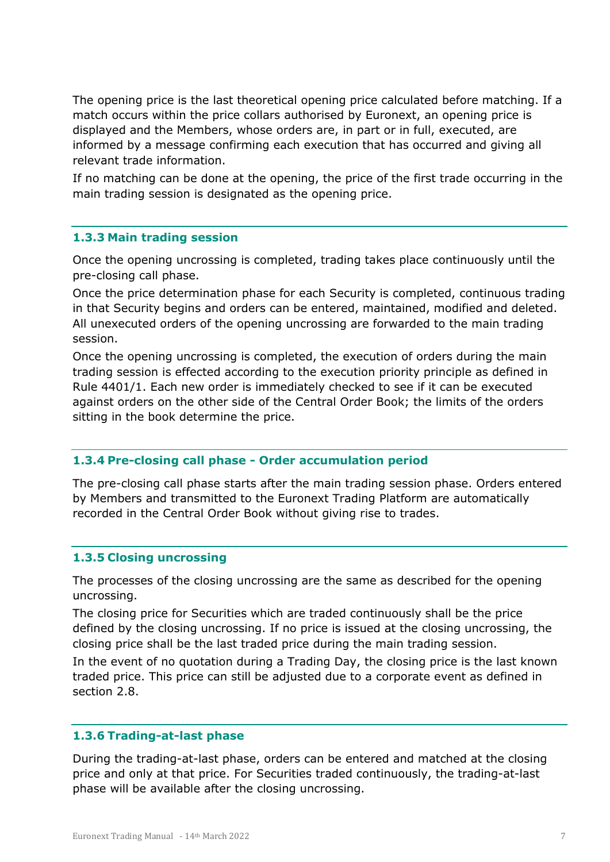The opening price is the last theoretical opening price calculated before matching. If a match occurs within the price collars authorised by Euronext, an opening price is displayed and the Members, whose orders are, in part or in full, executed, are informed by a message confirming each execution that has occurred and giving all relevant trade information.

If no matching can be done at the opening, the price of the first trade occurring in the main trading session is designated as the opening price.

#### <span id="page-6-0"></span>**1.3.3 Main trading session**

Once the opening uncrossing is completed, trading takes place continuously until the pre-closing call phase.

Once the price determination phase for each Security is completed, continuous trading in that Security begins and orders can be entered, maintained, modified and deleted. All unexecuted orders of the opening uncrossing are forwarded to the main trading session.

Once the opening uncrossing is completed, the execution of orders during the main trading session is effected according to the execution priority principle as defined in Rule 4401/1. Each new order is immediately checked to see if it can be executed against orders on the other side of the Central Order Book; the limits of the orders sitting in the book determine the price.

#### <span id="page-6-1"></span>**1.3.4 Pre-closing call phase - Order accumulation period**

The pre-closing call phase starts after the main trading session phase. Orders entered by Members and transmitted to the Euronext Trading Platform are automatically recorded in the Central Order Book without giving rise to trades.

#### <span id="page-6-2"></span>**1.3.5 Closing uncrossing**

The processes of the closing uncrossing are the same as described for the opening uncrossing.

The closing price for Securities which are traded continuously shall be the price defined by the closing uncrossing. If no price is issued at the closing uncrossing, the closing price shall be the last traded price during the main trading session.

In the event of no quotation during a Trading Day, the closing price is the last known traded price. This price can still be adjusted due to a corporate event as defined in section 2.8.

#### <span id="page-6-3"></span>**1.3.6 Trading-at-last phase**

During the trading-at-last phase, orders can be entered and matched at the closing price and only at that price. For Securities traded continuously, the trading-at-last phase will be available after the closing uncrossing.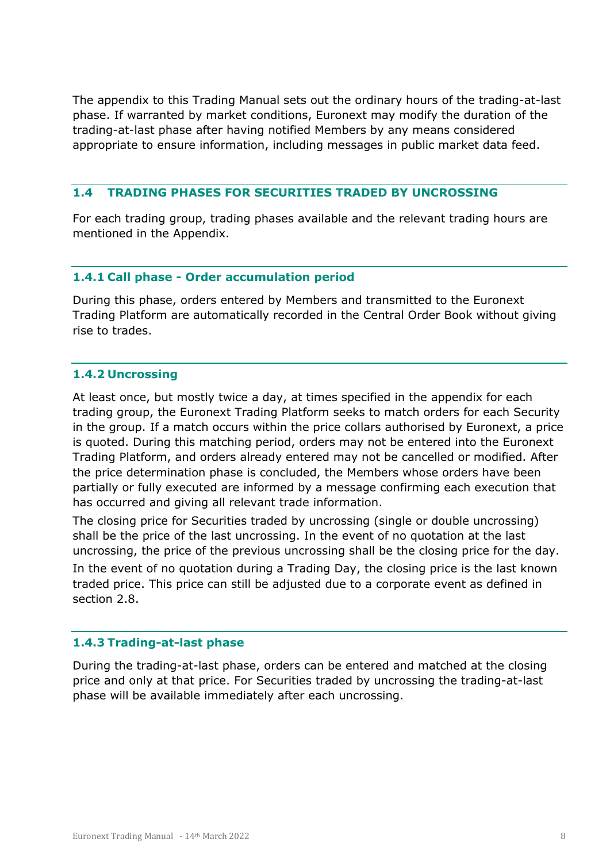The appendix to this Trading Manual sets out the ordinary hours of the trading-at-last phase. If warranted by market conditions, Euronext may modify the duration of the trading-at-last phase after having notified Members by any means considered appropriate to ensure information, including messages in public market data feed.

#### <span id="page-7-0"></span>**1.4 TRADING PHASES FOR SECURITIES TRADED BY UNCROSSING**

For each trading group, trading phases available and the relevant trading hours are mentioned in the Appendix.

#### <span id="page-7-1"></span>**1.4.1 Call phase - Order accumulation period**

During this phase, orders entered by Members and transmitted to the Euronext Trading Platform are automatically recorded in the Central Order Book without giving rise to trades.

#### <span id="page-7-2"></span>**1.4.2 Uncrossing**

At least once, but mostly twice a day, at times specified in the appendix for each trading group, the Euronext Trading Platform seeks to match orders for each Security in the group. If a match occurs within the price collars authorised by Euronext, a price is quoted. During this matching period, orders may not be entered into the Euronext Trading Platform, and orders already entered may not be cancelled or modified. After the price determination phase is concluded, the Members whose orders have been partially or fully executed are informed by a message confirming each execution that has occurred and giving all relevant trade information.

The closing price for Securities traded by uncrossing (single or double uncrossing) shall be the price of the last uncrossing. In the event of no quotation at the last uncrossing, the price of the previous uncrossing shall be the closing price for the day. In the event of no quotation during a Trading Day, the closing price is the last known traded price. This price can still be adjusted due to a corporate event as defined in section 2.8.

#### <span id="page-7-3"></span>**1.4.3 Trading-at-last phase**

During the trading-at-last phase, orders can be entered and matched at the closing price and only at that price. For Securities traded by uncrossing the trading-at-last phase will be available immediately after each uncrossing.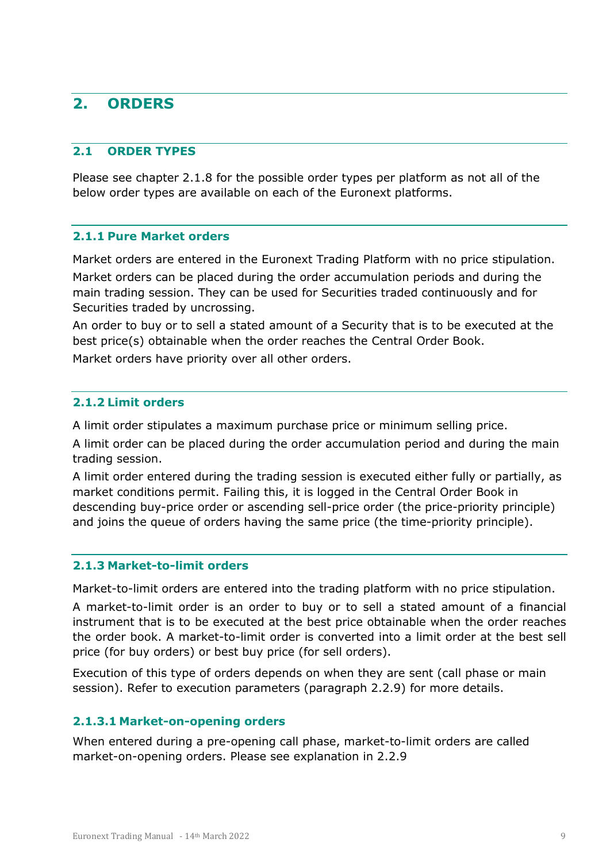# <span id="page-8-0"></span>**2. ORDERS**

#### <span id="page-8-1"></span>**2.1 ORDER TYPES**

Please see chapter 2.1.8 for the possible order types per platform as not all of the below order types are available on each of the Euronext platforms.

#### <span id="page-8-2"></span>**2.1.1 Pure Market orders**

Market orders are entered in the Euronext Trading Platform with no price stipulation. Market orders can be placed during the order accumulation periods and during the

main trading session. They can be used for Securities traded continuously and for Securities traded by uncrossing.

An order to buy or to sell a stated amount of a Security that is to be executed at the best price(s) obtainable when the order reaches the Central Order Book.

<span id="page-8-3"></span>Market orders have priority over all other orders.

#### **2.1.2 Limit orders**

A limit order stipulates a maximum purchase price or minimum selling price.

A limit order can be placed during the order accumulation period and during the main trading session.

A limit order entered during the trading session is executed either fully or partially, as market conditions permit. Failing this, it is logged in the Central Order Book in descending buy-price order or ascending sell-price order (the price-priority principle) and joins the queue of orders having the same price (the time-priority principle).

#### <span id="page-8-4"></span>**2.1.3 Market-to-limit orders**

Market-to-limit orders are entered into the trading platform with no price stipulation.

A market-to-limit order is an order to buy or to sell a stated amount of a financial instrument that is to be executed at the best price obtainable when the order reaches the order book. A market-to-limit order is converted into a limit order at the best sell price (for buy orders) or best buy price (for sell orders).

Execution of this type of orders depends on when they are sent (call phase or main session). Refer to execution parameters (paragraph 2.2.9) for more details.

#### <span id="page-8-5"></span>**2.1.3.1 Market-on-opening orders**

When entered during a pre-opening call phase, market-to-limit orders are called market-on-opening orders. Please see explanation in 2.2.9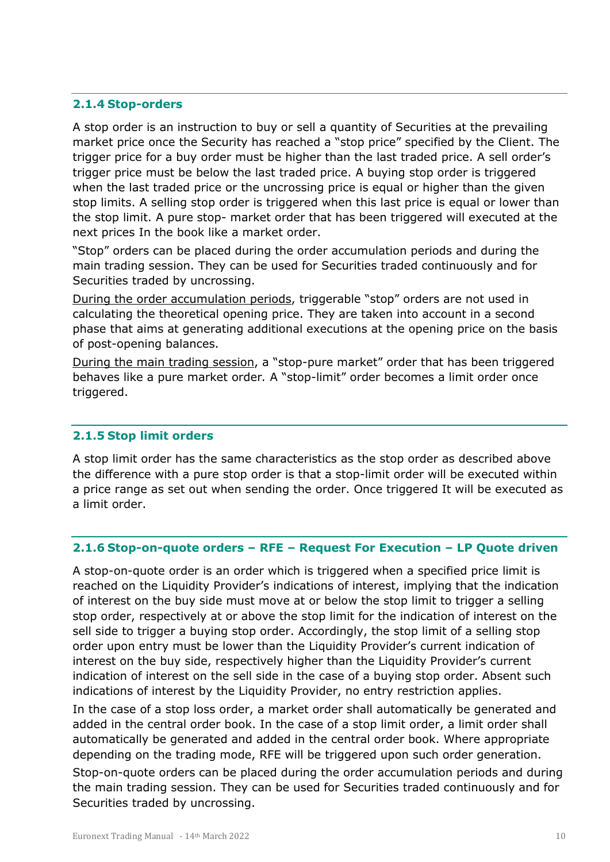#### <span id="page-9-0"></span>**2.1.4 Stop-orders**

A stop order is an instruction to buy or sell a quantity of Securities at the prevailing market price once the Security has reached a "stop price" specified by the Client. The trigger price for a buy order must be higher than the last traded price. A sell order's trigger price must be below the last traded price. A buying stop order is triggered when the last traded price or the uncrossing price is equal or higher than the given stop limits. A selling stop order is triggered when this last price is equal or lower than the stop limit. A pure stop- market order that has been triggered will executed at the next prices In the book like a market order.

"Stop" orders can be placed during the order accumulation periods and during the main trading session. They can be used for Securities traded continuously and for Securities traded by uncrossing.

During the order accumulation periods, triggerable "stop" orders are not used in calculating the theoretical opening price. They are taken into account in a second phase that aims at generating additional executions at the opening price on the basis of post-opening balances.

During the main trading session, a "stop-pure market" order that has been triggered behaves like a pure market order*.* A "stop-limit" order becomes a limit order once triggered.

#### <span id="page-9-1"></span>**2.1.5 Stop limit orders**

A stop limit order has the same characteristics as the stop order as described above the difference with a pure stop order is that a stop-limit order will be executed within a price range as set out when sending the order. Once triggered It will be executed as a limit order.

#### <span id="page-9-2"></span>**2.1.6 Stop-on-quote orders – RFE – Request For Execution – LP Quote driven**

A stop-on-quote order is an order which is triggered when a specified price limit is reached on the Liquidity Provider's indications of interest, implying that the indication of interest on the buy side must move at or below the stop limit to trigger a selling stop order, respectively at or above the stop limit for the indication of interest on the sell side to trigger a buying stop order. Accordingly, the stop limit of a selling stop order upon entry must be lower than the Liquidity Provider's current indication of interest on the buy side, respectively higher than the Liquidity Provider's current indication of interest on the sell side in the case of a buying stop order. Absent such indications of interest by the Liquidity Provider, no entry restriction applies.

In the case of a stop loss order, a market order shall automatically be generated and added in the central order book. In the case of a stop limit order, a limit order shall automatically be generated and added in the central order book. Where appropriate depending on the trading mode, RFE will be triggered upon such order generation.

Stop-on-quote orders can be placed during the order accumulation periods and during the main trading session. They can be used for Securities traded continuously and for Securities traded by uncrossing.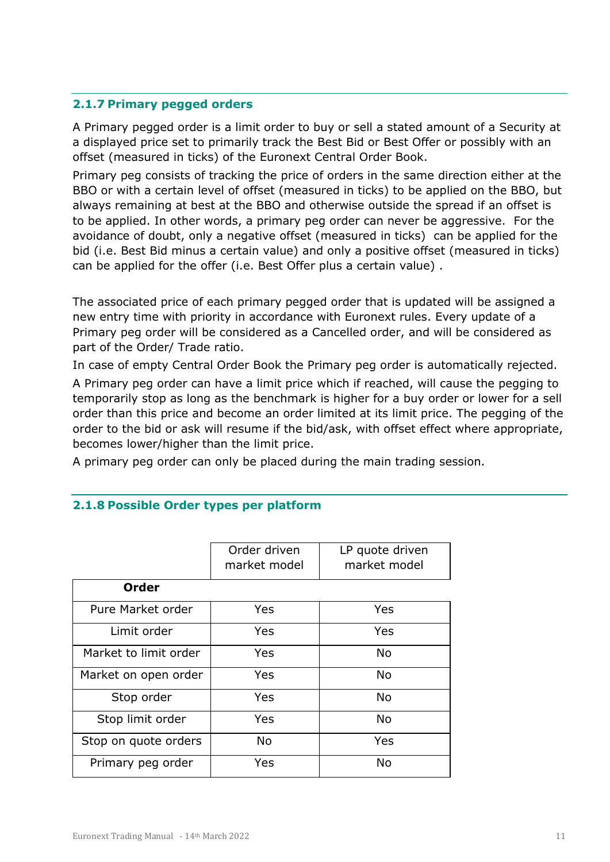#### <span id="page-10-0"></span>**2.1.7 Primary pegged orders**

A Primary pegged order is a limit order to buy or sell a stated amount of a Security at a displayed price set to primarily track the Best Bid or Best Offer or possibly with an offset (measured in ticks) of the Euronext Central Order Book.

Primary peg consists of tracking the price of orders in the same direction either at the BBO or with a certain level of offset (measured in ticks) to be applied on the BBO, but always remaining at best at the BBO and otherwise outside the spread if an offset is to be applied. In other words, a primary peg order can never be aggressive. For the avoidance of doubt, only a negative offset (measured in ticks) can be applied for the bid (i.e. Best Bid minus a certain value) and only a positive offset (measured in ticks) can be applied for the offer (i.e. Best Offer plus a certain value) .

The associated price of each primary pegged order that is updated will be assigned a new entry time with priority in accordance with Euronext rules. Every update of a Primary peg order will be considered as a Cancelled order, and will be considered as part of the Order/ Trade ratio.

In case of empty Central Order Book the Primary peg order is automatically rejected.

A Primary peg order can have a limit price which if reached, will cause the pegging to temporarily stop as long as the benchmark is higher for a buy order or lower for a sell order than this price and become an order limited at its limit price. The pegging of the order to the bid or ask will resume if the bid/ask, with offset effect where appropriate, becomes lower/higher than the limit price.

<span id="page-10-1"></span>A primary peg order can only be placed during the main trading session.

|                       | Order driven<br>market model | LP quote driven<br>market model |
|-----------------------|------------------------------|---------------------------------|
| <b>Order</b>          |                              |                                 |
| Pure Market order     | Yes                          | Yes                             |
| Limit order           | Yes                          | Yes                             |
| Market to limit order | Yes                          | <b>No</b>                       |
| Market on open order  | Yes                          | <b>No</b>                       |
| Stop order            | Yes                          | <b>No</b>                       |
| Stop limit order      | Yes                          | <b>No</b>                       |
| Stop on quote orders  | No                           | Yes                             |
| Primary peg order     | Yes                          | <b>No</b>                       |

#### **2.1.8 Possible Order types per platform**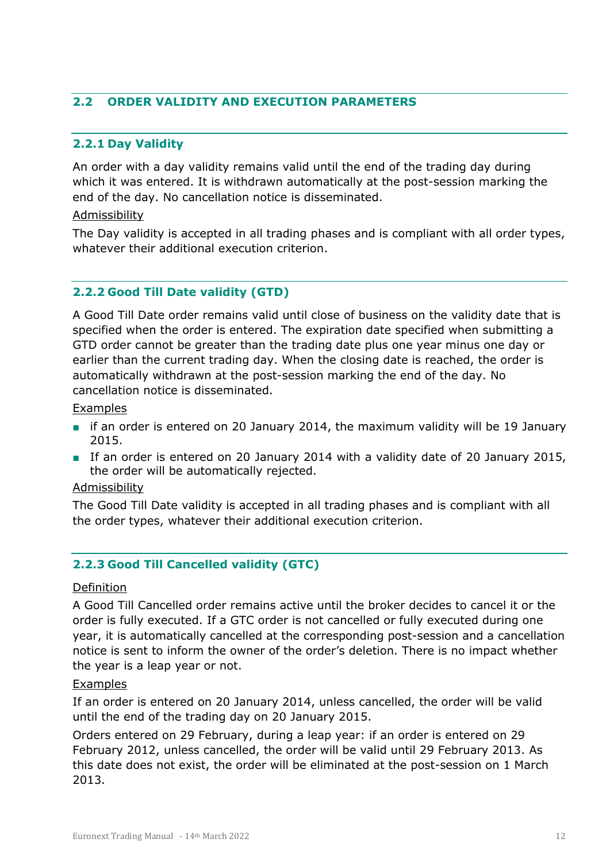#### <span id="page-11-0"></span>**2.2 ORDER VALIDITY AND EXECUTION PARAMETERS**

#### <span id="page-11-1"></span>**2.2.1 Day Validity**

An order with a day validity remains valid until the end of the trading day during which it was entered. It is withdrawn automatically at the post-session marking the end of the day. No cancellation notice is disseminated.

#### Admissibility

The Day validity is accepted in all trading phases and is compliant with all order types, whatever their additional execution criterion.

#### <span id="page-11-2"></span>**2.2.2 Good Till Date validity (GTD)**

A Good Till Date order remains valid until close of business on the validity date that is specified when the order is entered. The expiration date specified when submitting a GTD order cannot be greater than the trading date plus one year minus one day or earlier than the current trading day. When the closing date is reached, the order is automatically withdrawn at the post-session marking the end of the day. No cancellation notice is disseminated.

#### Examples

- if an order is entered on 20 January 2014, the maximum validity will be 19 January 2015.
- If an order is entered on 20 January 2014 with a validity date of 20 January 2015, the order will be automatically rejected.

#### Admissibility

The Good Till Date validity is accepted in all trading phases and is compliant with all the order types, whatever their additional execution criterion.

#### <span id="page-11-3"></span>**2.2.3 Good Till Cancelled validity (GTC)**

#### Definition

A Good Till Cancelled order remains active until the broker decides to cancel it or the order is fully executed. If a GTC order is not cancelled or fully executed during one year, it is automatically cancelled at the corresponding post-session and a cancellation notice is sent to inform the owner of the order's deletion. There is no impact whether the year is a leap year or not.

#### Examples

If an order is entered on 20 January 2014, unless cancelled, the order will be valid until the end of the trading day on 20 January 2015.

Orders entered on 29 February, during a leap year: if an order is entered on 29 February 2012, unless cancelled, the order will be valid until 29 February 2013. As this date does not exist, the order will be eliminated at the post-session on 1 March 2013.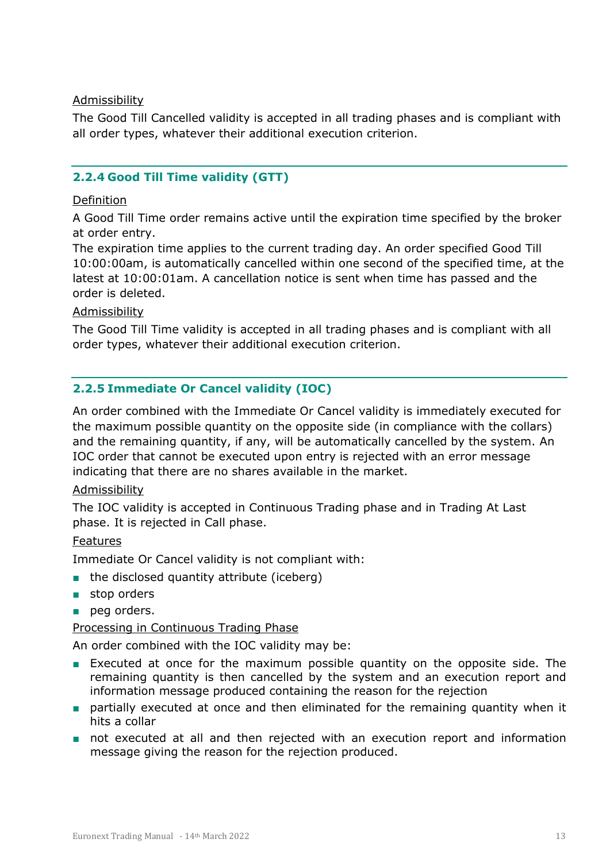#### Admissibility

The Good Till Cancelled validity is accepted in all trading phases and is compliant with all order types, whatever their additional execution criterion.

#### <span id="page-12-0"></span>**2.2.4 Good Till Time validity (GTT)**

#### Definition

A Good Till Time order remains active until the expiration time specified by the broker at order entry.

The expiration time applies to the current trading day. An order specified Good Till 10:00:00am, is automatically cancelled within one second of the specified time, at the latest at 10:00:01am. A cancellation notice is sent when time has passed and the order is deleted.

#### **Admissibility**

The Good Till Time validity is accepted in all trading phases and is compliant with all order types, whatever their additional execution criterion.

#### <span id="page-12-1"></span>**2.2.5 Immediate Or Cancel validity (IOC)**

An order combined with the Immediate Or Cancel validity is immediately executed for the maximum possible quantity on the opposite side (in compliance with the collars) and the remaining quantity, if any, will be automatically cancelled by the system. An IOC order that cannot be executed upon entry is rejected with an error message indicating that there are no shares available in the market.

#### Admissibility

The IOC validity is accepted in Continuous Trading phase and in Trading At Last phase. It is rejected in Call phase.

#### Features

Immediate Or Cancel validity is not compliant with:

- the disclosed quantity attribute (iceberg)
- stop orders
- peg orders.

#### Processing in Continuous Trading Phase

An order combined with the IOC validity may be:

- Executed at once for the maximum possible quantity on the opposite side. The remaining quantity is then cancelled by the system and an execution report and information message produced containing the reason for the rejection
- partially executed at once and then eliminated for the remaining quantity when it hits a collar
- not executed at all and then rejected with an execution report and information message giving the reason for the rejection produced.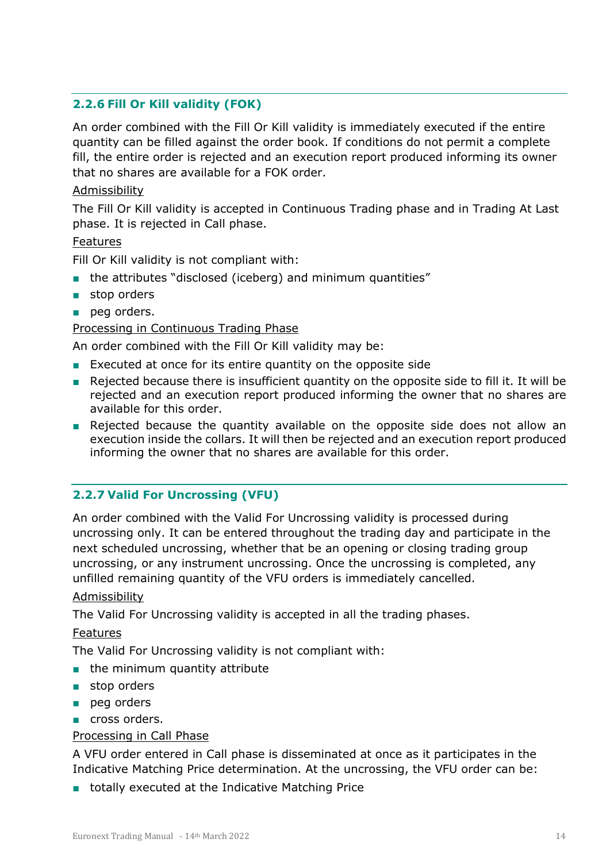#### <span id="page-13-0"></span>**2.2.6 Fill Or Kill validity (FOK)**

An order combined with the Fill Or Kill validity is immediately executed if the entire quantity can be filled against the order book. If conditions do not permit a complete fill, the entire order is rejected and an execution report produced informing its owner that no shares are available for a FOK order.

#### Admissibility

The Fill Or Kill validity is accepted in Continuous Trading phase and in Trading At Last phase. It is rejected in Call phase.

#### Features

Fill Or Kill validity is not compliant with:

- the attributes "disclosed (iceberg) and minimum quantities"
- stop orders
- peg orders.

#### Processing in Continuous Trading Phase

An order combined with the Fill Or Kill validity may be:

- Executed at once for its entire quantity on the opposite side
- Rejected because there is insufficient quantity on the opposite side to fill it. It will be rejected and an execution report produced informing the owner that no shares are available for this order.
- Rejected because the quantity available on the opposite side does not allow an execution inside the collars. It will then be rejected and an execution report produced informing the owner that no shares are available for this order.

#### <span id="page-13-1"></span>**2.2.7 Valid For Uncrossing (VFU)**

An order combined with the Valid For Uncrossing validity is processed during uncrossing only. It can be entered throughout the trading day and participate in the next scheduled uncrossing, whether that be an opening or closing trading group uncrossing, or any instrument uncrossing. Once the uncrossing is completed, any unfilled remaining quantity of the VFU orders is immediately cancelled.

#### Admissibility

The Valid For Uncrossing validity is accepted in all the trading phases.

#### Features

The Valid For Uncrossing validity is not compliant with:

- the minimum quantity attribute
- stop orders
- peg orders
- cross orders.

#### Processing in Call Phase

A VFU order entered in Call phase is disseminated at once as it participates in the Indicative Matching Price determination. At the uncrossing, the VFU order can be:

■ totally executed at the Indicative Matching Price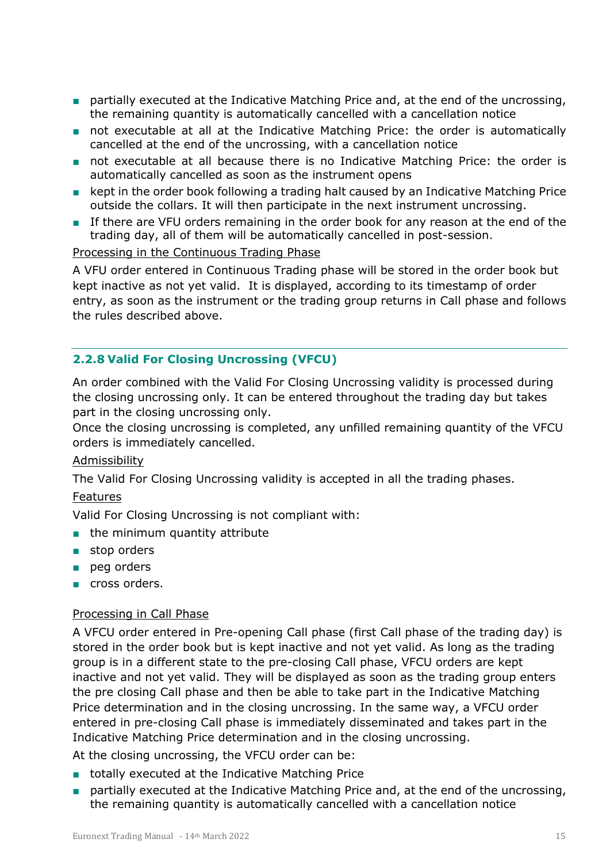- partially executed at the Indicative Matching Price and, at the end of the uncrossing, the remaining quantity is automatically cancelled with a cancellation notice
- not executable at all at the Indicative Matching Price: the order is automatically cancelled at the end of the uncrossing, with a cancellation notice
- not executable at all because there is no Indicative Matching Price: the order is automatically cancelled as soon as the instrument opens
- kept in the order book following a trading halt caused by an Indicative Matching Price outside the collars. It will then participate in the next instrument uncrossing.
- If there are VFU orders remaining in the order book for any reason at the end of the trading day, all of them will be automatically cancelled in post-session.

#### Processing in the Continuous Trading Phase

A VFU order entered in Continuous Trading phase will be stored in the order book but kept inactive as not yet valid. It is displayed, according to its timestamp of order entry, as soon as the instrument or the trading group returns in Call phase and follows the rules described above.

#### <span id="page-14-0"></span>**2.2.8 Valid For Closing Uncrossing (VFCU)**

An order combined with the Valid For Closing Uncrossing validity is processed during the closing uncrossing only. It can be entered throughout the trading day but takes part in the closing uncrossing only.

Once the closing uncrossing is completed, any unfilled remaining quantity of the VFCU orders is immediately cancelled.

#### Admissibility

The Valid For Closing Uncrossing validity is accepted in all the trading phases.

#### Features

Valid For Closing Uncrossing is not compliant with:

- the minimum quantity attribute
- stop orders
- peg orders
- cross orders.

#### Processing in Call Phase

A VFCU order entered in Pre-opening Call phase (first Call phase of the trading day) is stored in the order book but is kept inactive and not yet valid. As long as the trading group is in a different state to the pre-closing Call phase, VFCU orders are kept inactive and not yet valid. They will be displayed as soon as the trading group enters the pre closing Call phase and then be able to take part in the Indicative Matching Price determination and in the closing uncrossing. In the same way, a VFCU order entered in pre-closing Call phase is immediately disseminated and takes part in the Indicative Matching Price determination and in the closing uncrossing.

At the closing uncrossing, the VFCU order can be:

- totally executed at the Indicative Matching Price
- partially executed at the Indicative Matching Price and, at the end of the uncrossing, the remaining quantity is automatically cancelled with a cancellation notice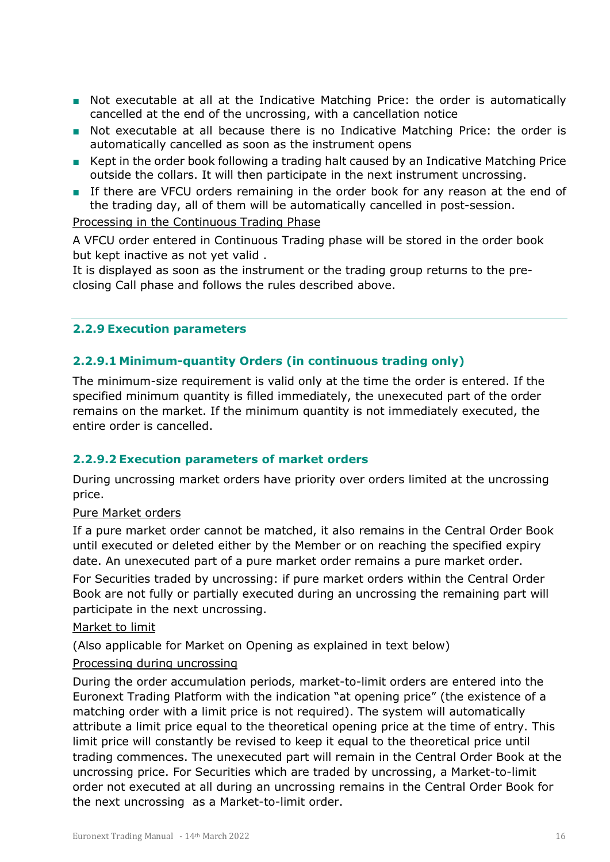- Not executable at all at the Indicative Matching Price: the order is automatically cancelled at the end of the uncrossing, with a cancellation notice
- Not executable at all because there is no Indicative Matching Price: the order is automatically cancelled as soon as the instrument opens
- Kept in the order book following a trading halt caused by an Indicative Matching Price outside the collars. It will then participate in the next instrument uncrossing.
- If there are VFCU orders remaining in the order book for any reason at the end of the trading day, all of them will be automatically cancelled in post-session.

#### Processing in the Continuous Trading Phase

A VFCU order entered in Continuous Trading phase will be stored in the order book but kept inactive as not yet valid .

It is displayed as soon as the instrument or the trading group returns to the preclosing Call phase and follows the rules described above.

#### <span id="page-15-0"></span>**2.2.9 Execution parameters**

#### <span id="page-15-1"></span>**2.2.9.1 Minimum-quantity Orders (in continuous trading only)**

The minimum-size requirement is valid only at the time the order is entered. If the specified minimum quantity is filled immediately, the unexecuted part of the order remains on the market. If the minimum quantity is not immediately executed, the entire order is cancelled.

#### <span id="page-15-2"></span>**2.2.9.2 Execution parameters of market orders**

During uncrossing market orders have priority over orders limited at the uncrossing price.

Pure Market orders

If a pure market order cannot be matched, it also remains in the Central Order Book until executed or deleted either by the Member or on reaching the specified expiry date. An unexecuted part of a pure market order remains a pure market order.

For Securities traded by uncrossing: if pure market orders within the Central Order Book are not fully or partially executed during an uncrossing the remaining part will participate in the next uncrossing.

#### Market to limit

(Also applicable for Market on Opening as explained in text below)

#### Processing during uncrossing

During the order accumulation periods, market-to-limit orders are entered into the Euronext Trading Platform with the indication "at opening price" (the existence of a matching order with a limit price is not required). The system will automatically attribute a limit price equal to the theoretical opening price at the time of entry. This limit price will constantly be revised to keep it equal to the theoretical price until trading commences. The unexecuted part will remain in the Central Order Book at the uncrossing price. For Securities which are traded by uncrossing, a Market-to-limit order not executed at all during an uncrossing remains in the Central Order Book for the next uncrossing as a Market-to-limit order.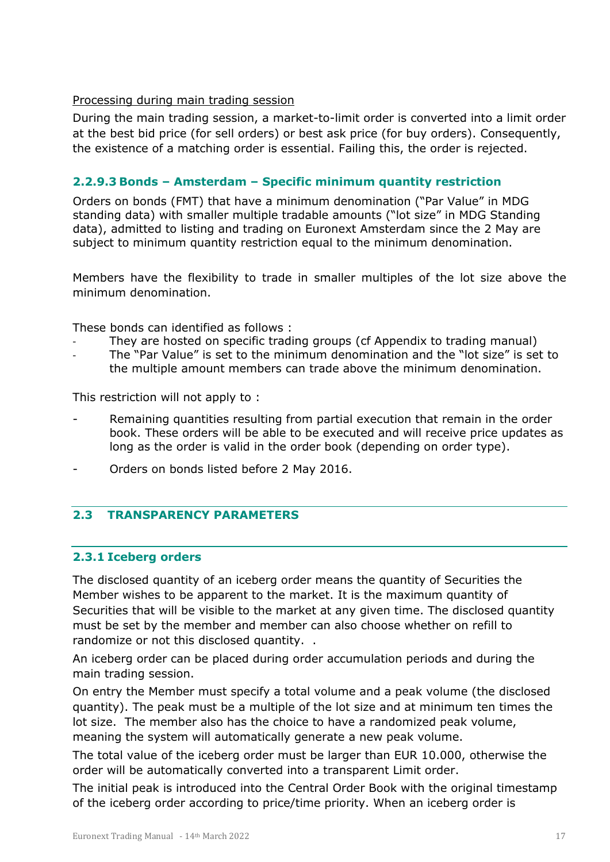#### Processing during main trading session

During the main trading session, a market-to-limit order is converted into a limit order at the best bid price (for sell orders) or best ask price (for buy orders). Consequently, the existence of a matching order is essential. Failing this, the order is rejected.

#### <span id="page-16-0"></span>**2.2.9.3 Bonds – Amsterdam – Specific minimum quantity restriction**

Orders on bonds (FMT) that have a minimum denomination ("Par Value" in MDG standing data) with smaller multiple tradable amounts ("lot size" in MDG Standing data), admitted to listing and trading on Euronext Amsterdam since the 2 May are subject to minimum quantity restriction equal to the minimum denomination.

Members have the flexibility to trade in smaller multiples of the lot size above the minimum denomination.

These bonds can identified as follows :

- They are hosted on specific trading groups (cf Appendix to trading manual)
- The "Par Value" is set to the minimum denomination and the "lot size" is set to the multiple amount members can trade above the minimum denomination.

This restriction will not apply to :

- Remaining quantities resulting from partial execution that remain in the order book. These orders will be able to be executed and will receive price updates as long as the order is valid in the order book (depending on order type).
- <span id="page-16-1"></span>- Orders on bonds listed before 2 May 2016.

#### **2.3 TRANSPARENCY PARAMETERS**

#### <span id="page-16-2"></span>**2.3.1 Iceberg orders**

The disclosed quantity of an iceberg order means the quantity of Securities the Member wishes to be apparent to the market. It is the maximum quantity of Securities that will be visible to the market at any given time. The disclosed quantity must be set by the member and member can also choose whether on refill to randomize or not this disclosed quantity. .

An iceberg order can be placed during order accumulation periods and during the main trading session.

On entry the Member must specify a total volume and a peak volume (the disclosed quantity). The peak must be a multiple of the lot size and at minimum ten times the lot size. The member also has the choice to have a randomized peak volume, meaning the system will automatically generate a new peak volume.

The total value of the iceberg order must be larger than EUR 10.000, otherwise the order will be automatically converted into a transparent Limit order.

The initial peak is introduced into the Central Order Book with the original timestamp of the iceberg order according to price/time priority. When an iceberg order is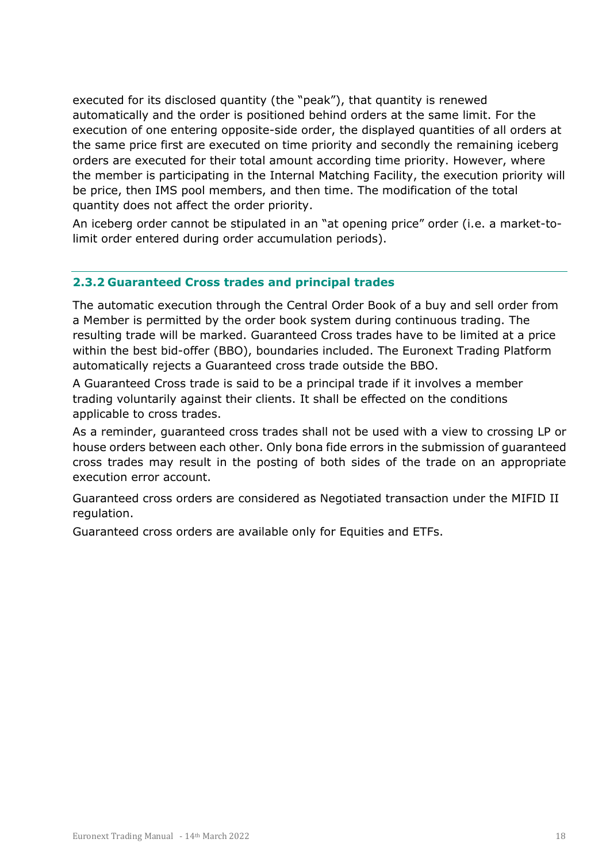executed for its disclosed quantity (the "peak"), that quantity is renewed automatically and the order is positioned behind orders at the same limit. For the execution of one entering opposite-side order, the displayed quantities of all orders at the same price first are executed on time priority and secondly the remaining iceberg orders are executed for their total amount according time priority. However, where the member is participating in the Internal Matching Facility, the execution priority will be price, then IMS pool members, and then time. The modification of the total quantity does not affect the order priority.

An iceberg order cannot be stipulated in an "at opening price" order (i.e. a market-tolimit order entered during order accumulation periods).

#### <span id="page-17-0"></span>**2.3.2 Guaranteed Cross trades and principal trades**

The automatic execution through the Central Order Book of a buy and sell order from a Member is permitted by the order book system during continuous trading. The resulting trade will be marked. Guaranteed Cross trades have to be limited at a price within the best bid-offer (BBO), boundaries included. The Euronext Trading Platform automatically rejects a Guaranteed cross trade outside the BBO.

A Guaranteed Cross trade is said to be a principal trade if it involves a member trading voluntarily against their clients. It shall be effected on the conditions applicable to cross trades.

As a reminder, guaranteed cross trades shall not be used with a view to crossing LP or house orders between each other. Only bona fide errors in the submission of guaranteed cross trades may result in the posting of both sides of the trade on an appropriate execution error account.

Guaranteed cross orders are considered as Negotiated transaction under the MIFID II regulation.

Guaranteed cross orders are available only for Equities and ETFs.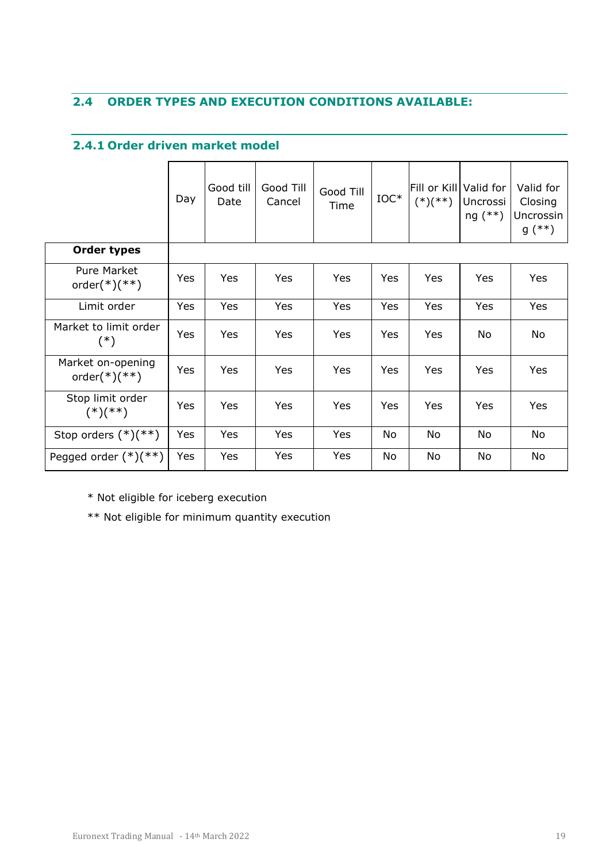### <span id="page-18-1"></span><span id="page-18-0"></span>**2.4 ORDER TYPES AND EXECUTION CONDITIONS AVAILABLE:**

#### **2.4.1 Order driven market model**

|                                       | Day | Good till<br>Date | Good Till<br>Cancel | Good Till<br>Time | $IOC*$ | Fill or Kill Valid for<br>$(*)$ (**) | Uncrossi<br>$ng (**)$ | Valid for<br>Closing<br>Uncrossin<br>$g$ (**) |
|---------------------------------------|-----|-------------------|---------------------|-------------------|--------|--------------------------------------|-----------------------|-----------------------------------------------|
| <b>Order types</b>                    |     |                   |                     |                   |        |                                      |                       |                                               |
| <b>Pure Market</b><br>$order(*)$ (**) | Yes | Yes               | Yes                 | Yes               | Yes    | Yes                                  | Yes                   | Yes                                           |
| Limit order                           | Yes | Yes               | Yes                 | Yes               | Yes    | Yes                                  | Yes                   | Yes                                           |
| Market to limit order<br>$(*)$        | Yes | Yes               | Yes                 | Yes               | Yes    | Yes                                  | No                    | No                                            |
| Market on-opening<br>$order(*)$ (**)  | Yes | Yes               | Yes                 | Yes               | Yes    | Yes                                  | Yes                   | Yes                                           |
| Stop limit order<br>$(*)$ (**)        | Yes | Yes               | Yes                 | Yes               | Yes    | Yes                                  | Yes                   | Yes                                           |
| Stop orders $(*)$ (**)                | Yes | Yes               | Yes                 | Yes               | No     | No                                   | No                    | No                                            |
| Pegged order $(*)$ (**)               | Yes | Yes               | Yes                 | Yes               | No     | No                                   | No                    | No                                            |

\* Not eligible for iceberg execution

\*\* Not eligible for minimum quantity execution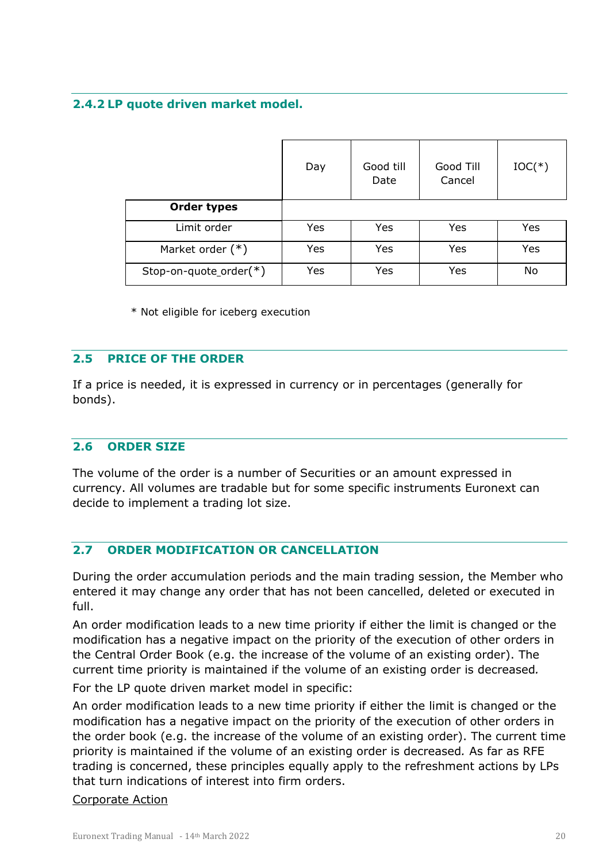#### <span id="page-19-0"></span>**2.4.2 LP quote driven market model.**

|                           | Day | Good till<br>Date | Good Till<br>Cancel | $IOC(*)$ |
|---------------------------|-----|-------------------|---------------------|----------|
| <b>Order types</b>        |     |                   |                     |          |
| Limit order               | Yes | Yes               | Yes                 | Yes      |
| Market order $(*)$        | Yes | Yes               | Yes                 | Yes      |
| Stop-on-quote_order $(*)$ | Yes | Yes               | Yes                 | No       |

\* Not eligible for iceberg execution

#### <span id="page-19-1"></span>**2.5 PRICE OF THE ORDER**

If a price is needed, it is expressed in currency or in percentages (generally for bonds).

#### <span id="page-19-2"></span>**2.6 ORDER SIZE**

The volume of the order is a number of Securities or an amount expressed in currency. All volumes are tradable but for some specific instruments Euronext can decide to implement a trading lot size.

#### <span id="page-19-3"></span>**2.7 ORDER MODIFICATION OR CANCELLATION**

During the order accumulation periods and the main trading session, the Member who entered it may change any order that has not been cancelled, deleted or executed in full.

An order modification leads to a new time priority if either the limit is changed or the modification has a negative impact on the priority of the execution of other orders in the Central Order Book (e.g. the increase of the volume of an existing order). The current time priority is maintained if the volume of an existing order is decreased*.* 

For the LP quote driven market model in specific:

An order modification leads to a new time priority if either the limit is changed or the modification has a negative impact on the priority of the execution of other orders in the order book (e.g. the increase of the volume of an existing order). The current time priority is maintained if the volume of an existing order is decreased*.* As far as RFE trading is concerned, these principles equally apply to the refreshment actions by LPs that turn indications of interest into firm orders.

#### Corporate Action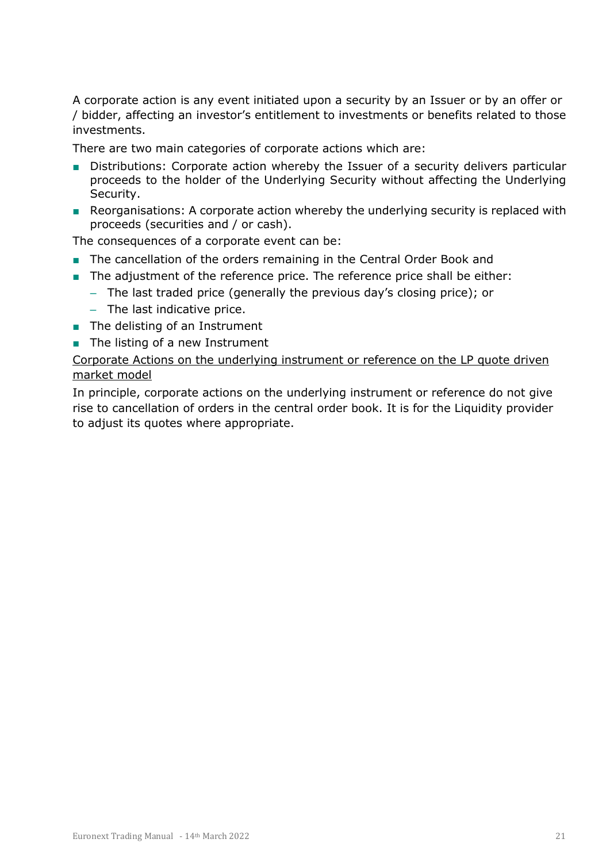A corporate action is any event initiated upon a security by an Issuer or by an offer or / bidder, affecting an investor's entitlement to investments or benefits related to those investments.

There are two main categories of corporate actions which are:

- Distributions: Corporate action whereby the Issuer of a security delivers particular proceeds to the holder of the Underlying Security without affecting the Underlying Security.
- Reorganisations: A corporate action whereby the underlying security is replaced with proceeds (securities and / or cash).

The consequences of a corporate event can be:

- The cancellation of the orders remaining in the Central Order Book and
- The adjustment of the reference price. The reference price shall be either:
	- The last traded price (generally the previous day's closing price); or
	- The last indicative price.
- The delisting of an Instrument
- The listing of a new Instrument

Corporate Actions on the underlying instrument or reference on the LP quote driven market model

In principle, corporate actions on the underlying instrument or reference do not give rise to cancellation of orders in the central order book. It is for the Liquidity provider to adjust its quotes where appropriate.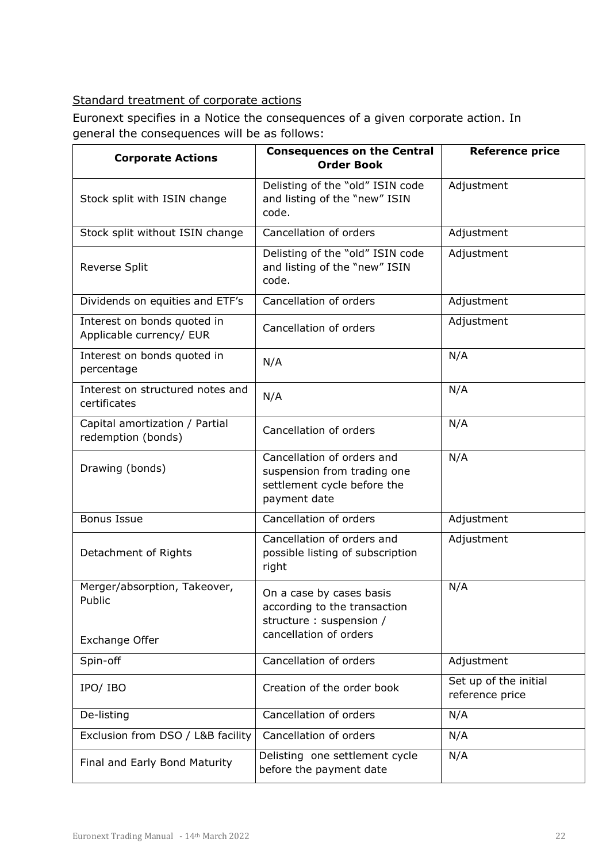### Standard treatment of corporate actions

Euronext specifies in a Notice the consequences of a given corporate action. In general the consequences will be as follows:

| <b>Corporate Actions</b>                                 | <b>Consequences on the Central</b><br><b>Order Book</b>                                                        | <b>Reference price</b>                   |  |
|----------------------------------------------------------|----------------------------------------------------------------------------------------------------------------|------------------------------------------|--|
| Stock split with ISIN change                             | Delisting of the "old" ISIN code<br>and listing of the "new" ISIN<br>code.                                     | Adjustment                               |  |
| Stock split without ISIN change                          | Cancellation of orders                                                                                         | Adjustment                               |  |
| Reverse Split                                            | Delisting of the "old" ISIN code<br>and listing of the "new" ISIN<br>code.                                     | Adjustment                               |  |
| Dividends on equities and ETF's                          | Cancellation of orders                                                                                         | Adjustment                               |  |
| Interest on bonds quoted in<br>Applicable currency/ EUR  | Cancellation of orders                                                                                         | Adjustment                               |  |
| Interest on bonds quoted in<br>percentage                | N/A                                                                                                            | N/A                                      |  |
| Interest on structured notes and<br>certificates         | N/A                                                                                                            | N/A                                      |  |
| Capital amortization / Partial<br>redemption (bonds)     | Cancellation of orders                                                                                         | N/A                                      |  |
| Drawing (bonds)                                          | Cancellation of orders and<br>suspension from trading one<br>settlement cycle before the<br>payment date       | N/A                                      |  |
| <b>Bonus Issue</b>                                       | Cancellation of orders                                                                                         | Adjustment                               |  |
| Detachment of Rights                                     | Cancellation of orders and<br>possible listing of subscription<br>right                                        | Adjustment                               |  |
| Merger/absorption, Takeover,<br>Public<br>Exchange Offer | On a case by cases basis<br>according to the transaction<br>structure : suspension /<br>cancellation of orders | N/A                                      |  |
| Spin-off                                                 | Cancellation of orders                                                                                         | Adjustment                               |  |
| IPO/ IBO                                                 | Creation of the order book                                                                                     | Set up of the initial<br>reference price |  |
| De-listing                                               | Cancellation of orders                                                                                         | N/A                                      |  |
| Exclusion from DSO / L&B facility                        | Cancellation of orders                                                                                         | N/A                                      |  |
| Final and Early Bond Maturity                            | Delisting one settlement cycle<br>before the payment date                                                      | N/A                                      |  |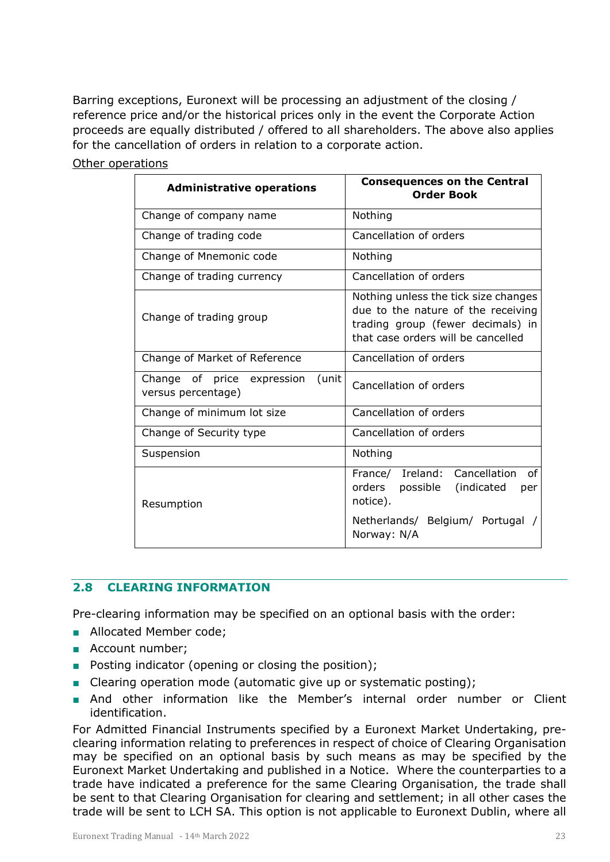Barring exceptions, Euronext will be processing an adjustment of the closing / reference price and/or the historical prices only in the event the Corporate Action proceeds are equally distributed / offered to all shareholders. The above also applies for the cancellation of orders in relation to a corporate action.

| <b>Administrative operations</b>                          | <b>Consequences on the Central</b><br><b>Order Book</b>                                                                                                  |  |  |
|-----------------------------------------------------------|----------------------------------------------------------------------------------------------------------------------------------------------------------|--|--|
| Change of company name                                    | Nothing                                                                                                                                                  |  |  |
| Change of trading code                                    | Cancellation of orders                                                                                                                                   |  |  |
| Change of Mnemonic code                                   | Nothing                                                                                                                                                  |  |  |
| Change of trading currency                                | Cancellation of orders                                                                                                                                   |  |  |
| Change of trading group                                   | Nothing unless the tick size changes<br>due to the nature of the receiving<br>trading group (fewer decimals) in<br>that case orders will be cancelled    |  |  |
| Change of Market of Reference                             | Cancellation of orders                                                                                                                                   |  |  |
| Change of price expression<br>(unit<br>versus percentage) | Cancellation of orders                                                                                                                                   |  |  |
| Change of minimum lot size                                | Cancellation of orders                                                                                                                                   |  |  |
| Change of Security type                                   | Cancellation of orders                                                                                                                                   |  |  |
| Suspension                                                | Nothing                                                                                                                                                  |  |  |
| Resumption                                                | Cancellation<br><sub>of</sub><br>France/ Ireland:<br>possible (indicated<br>orders<br>per<br>notice).<br>Netherlands/ Belgium/ Portugal /<br>Norway: N/A |  |  |

#### Other operations

#### <span id="page-22-0"></span>**2.8 CLEARING INFORMATION**

Pre-clearing information may be specified on an optional basis with the order:

- Allocated Member code:
- Account number;
- Posting indicator (opening or closing the position);
- Clearing operation mode (automatic give up or systematic posting);
- And other information like the Member's internal order number or Client identification.

For Admitted Financial Instruments specified by a Euronext Market Undertaking, preclearing information relating to preferences in respect of choice of Clearing Organisation may be specified on an optional basis by such means as may be specified by the Euronext Market Undertaking and published in a Notice. Where the counterparties to a trade have indicated a preference for the same Clearing Organisation, the trade shall be sent to that Clearing Organisation for clearing and settlement; in all other cases the trade will be sent to LCH SA. This option is not applicable to Euronext Dublin, where all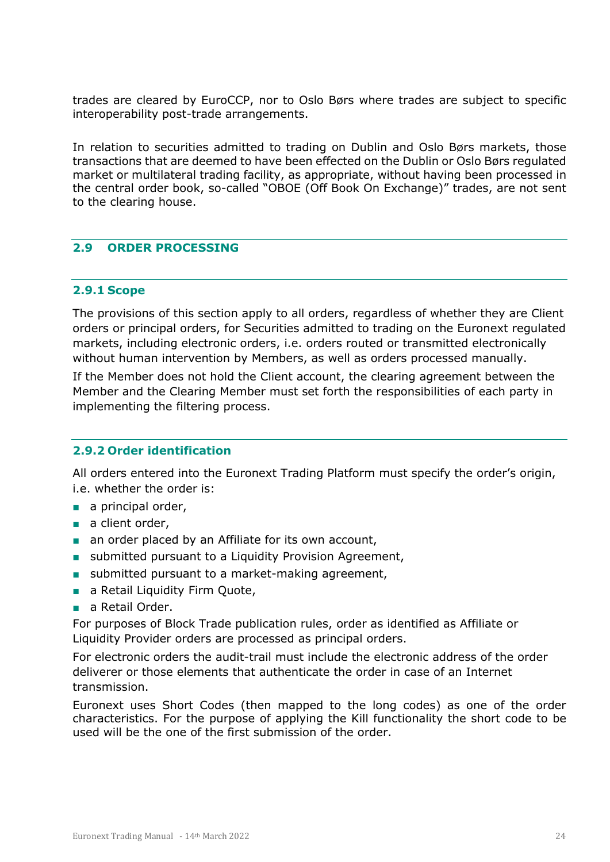trades are cleared by EuroCCP, nor to Oslo Børs where trades are subject to specific interoperability post-trade arrangements.

In relation to securities admitted to trading on Dublin and Oslo Børs markets, those transactions that are deemed to have been effected on the Dublin or Oslo Børs regulated market or multilateral trading facility, as appropriate, without having been processed in the central order book, so-called "OBOE (Off Book On Exchange)" trades, are not sent to the clearing house.

#### <span id="page-23-0"></span>**2.9 ORDER PROCESSING**

#### <span id="page-23-1"></span>**2.9.1 Scope**

The provisions of this section apply to all orders, regardless of whether they are Client orders or principal orders, for Securities admitted to trading on the Euronext regulated markets, including electronic orders, i.e. orders routed or transmitted electronically without human intervention by Members, as well as orders processed manually.

If the Member does not hold the Client account, the clearing agreement between the Member and the Clearing Member must set forth the responsibilities of each party in implementing the filtering process.

#### <span id="page-23-2"></span>**2.9.2 Order identification**

All orders entered into the Euronext Trading Platform must specify the order's origin, i.e. whether the order is:

- a principal order,
- a client order,
- an order placed by an Affiliate for its own account,
- submitted pursuant to a Liquidity Provision Agreement,
- submitted pursuant to a market-making agreement,
- a Retail Liquidity Firm Quote,
- a Retail Order.

For purposes of Block Trade publication rules, order as identified as Affiliate or Liquidity Provider orders are processed as principal orders.

For electronic orders the audit-trail must include the electronic address of the order deliverer or those elements that authenticate the order in case of an Internet transmission.

Euronext uses Short Codes (then mapped to the long codes) as one of the order characteristics. For the purpose of applying the Kill functionality the short code to be used will be the one of the first submission of the order.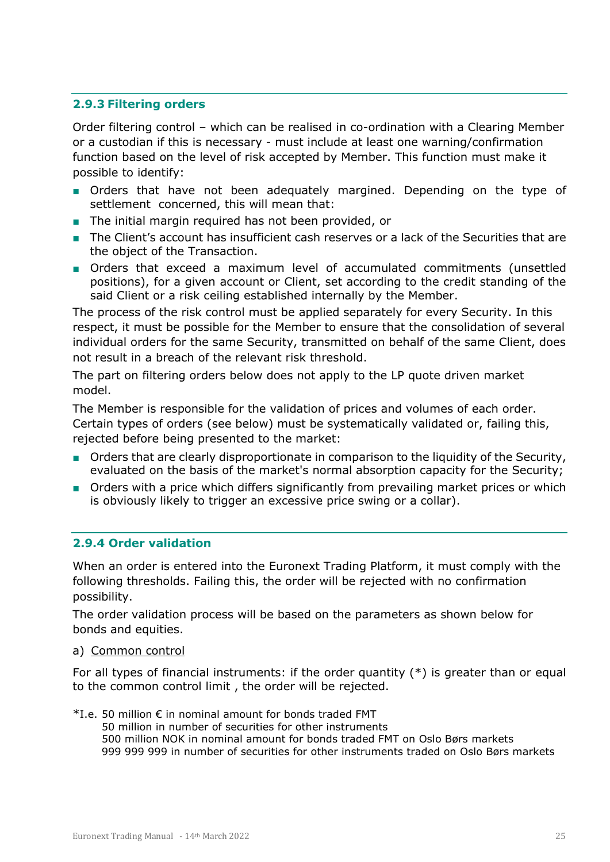#### <span id="page-24-0"></span>**2.9.3 Filtering orders**

Order filtering control – which can be realised in co-ordination with a Clearing Member or a custodian if this is necessary - must include at least one warning/confirmation function based on the level of risk accepted by Member. This function must make it possible to identify:

- Orders that have not been adequately margined. Depending on the type of settlement concerned, this will mean that:
- The initial margin required has not been provided, or
- The Client's account has insufficient cash reserves or a lack of the Securities that are the object of the Transaction.
- Orders that exceed a maximum level of accumulated commitments (unsettled positions), for a given account or Client, set according to the credit standing of the said Client or a risk ceiling established internally by the Member.

The process of the risk control must be applied separately for every Security. In this respect, it must be possible for the Member to ensure that the consolidation of several individual orders for the same Security, transmitted on behalf of the same Client, does not result in a breach of the relevant risk threshold.

The part on filtering orders below does not apply to the LP quote driven market model.

The Member is responsible for the validation of prices and volumes of each order. Certain types of orders (see below) must be systematically validated or, failing this, rejected before being presented to the market:

- Orders that are clearly disproportionate in comparison to the liquidity of the Security, evaluated on the basis of the market's normal absorption capacity for the Security;
- Orders with a price which differs significantly from prevailing market prices or which is obviously likely to trigger an excessive price swing or a collar).

#### <span id="page-24-1"></span>**2.9.4 Order validation**

When an order is entered into the Euronext Trading Platform, it must comply with the following thresholds. Failing this, the order will be rejected with no confirmation possibility.

The order validation process will be based on the parameters as shown below for bonds and equities.

#### a) Common control

For all types of financial instruments: if the order quantity (\*) is greater than or equal to the common control limit , the order will be rejected.

- $*$ I.e. 50 million € in nominal amount for bonds traded FMT
	- 50 million in number of securities for other instruments 500 million NOK in nominal amount for bonds traded FMT on Oslo Børs markets 999 999 999 in number of securities for other instruments traded on Oslo Børs markets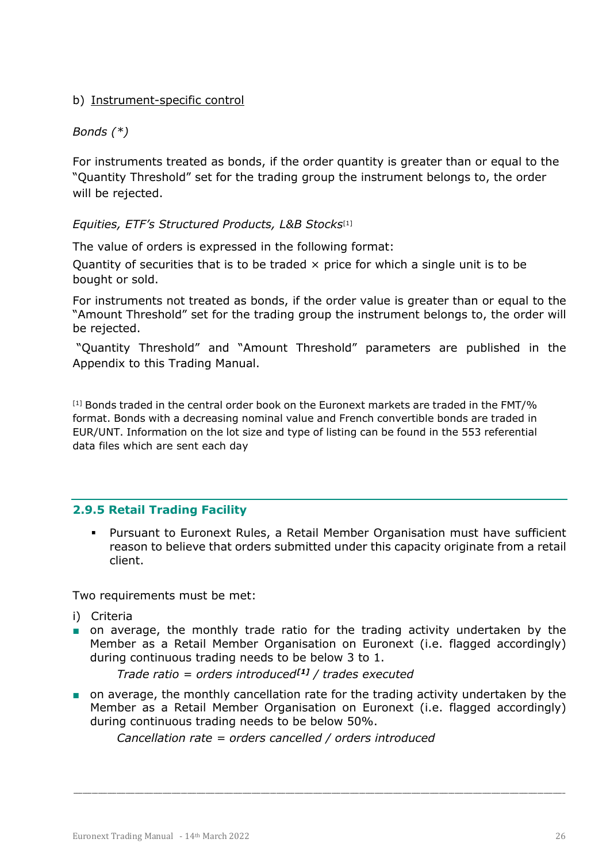#### b) Instrument-specific control

#### *Bonds (\*)*

For instruments treated as bonds, if the order quantity is greater than or equal to the "Quantity Threshold" set for the trading group the instrument belongs to, the order will be rejected.

#### *Equities, ETF's Structured Products, L&B Stocks*[1]

The value of orders is expressed in the following format:

Quantity of securities that is to be traded  $\times$  price for which a single unit is to be bought or sold.

For instruments not treated as bonds, if the order value is greater than or equal to the "Amount Threshold" set for the trading group the instrument belongs to, the order will be rejected.

"Quantity Threshold" and "Amount Threshold" parameters are published in the Appendix to this Trading Manual.

[1] Bonds traded in the central order book on the Euronext markets are traded in the FMT/% format. Bonds with a decreasing nominal value and French convertible bonds are traded in EUR/UNT. Information on the lot size and type of listing can be found in the 553 referential data files which are sent each day

#### <span id="page-25-0"></span>**2.9.5 Retail Trading Facility**

 Pursuant to Euronext Rules, a Retail Member Organisation must have sufficient reason to believe that orders submitted under this capacity originate from a retail client.

Two requirements must be met:

- i) Criteria
- on average, the monthly trade ratio for the trading activity undertaken by the Member as a Retail Member Organisation on Euronext (i.e. flagged accordingly) during continuous trading needs to be below 3 to 1.

*Trade ratio = orders introduced[\[1\]](#page-25-1) / trades executed*

■ on average, the monthly cancellation rate for the trading activity undertaken by the Member as a Retail Member Organisation on Euronext (i.e. flagged accordingly) during continuous trading needs to be below 50%.

<span id="page-25-1"></span>\_\_\_\_\_\_\_\_\_\_\_\_\_\_\_\_\_\_\_\_\_\_\_\_\_\_\_\_\_\_\_\_\_\_\_\_\_\_\_\_\_\_\_\_\_\_\_\_\_\_\_\_\_\_\_\_\_\_\_\_\_\_\_\_\_\_\_\_\_\_\_\_\_\_\_\_\_\_\_\_\_\_\_\_\_\_\_\_\_\_\_\_\_\_\_\_\_\_\_\_\_\_\_\_\_\_\_\_\_\_\_\_\_\_\_\_\_\_\_\_\_\_\_\_\_\_\_\_\_\_\_\_\_\_\_\_\_\_\_\_\_\_\_\_\_\_\_\_\_\_\_\_\_\_\_\_\_\_\_\_

*Cancellation rate = orders cancelled / orders introduced*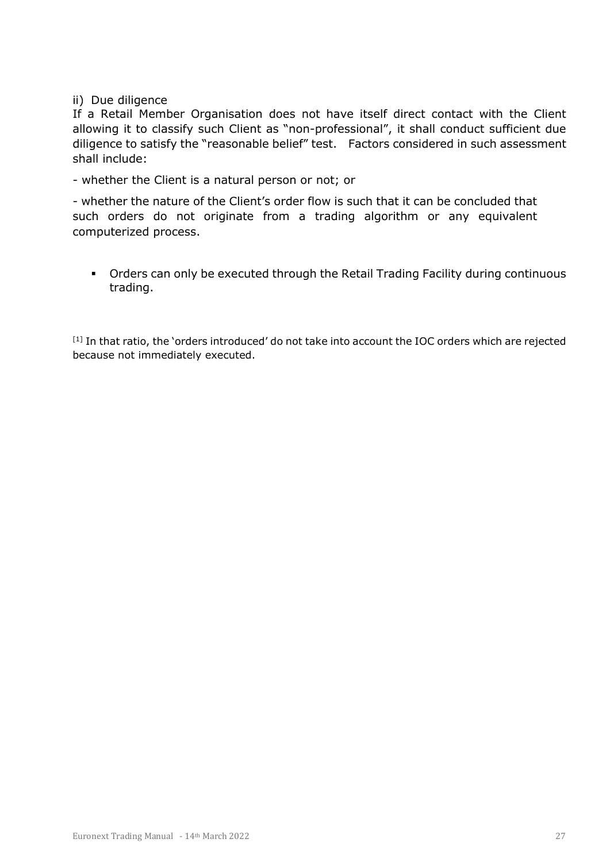#### ii) Due diligence

If a Retail Member Organisation does not have itself direct contact with the Client allowing it to classify such Client as "non-professional", it shall conduct sufficient due diligence to satisfy the "reasonable belief" test. Factors considered in such assessment shall include:

- whether the Client is a natural person or not; or

- whether the nature of the Client's order flow is such that it can be concluded that such orders do not originate from a trading algorithm or any equivalent computerized process.

 Orders can only be executed through the Retail Trading Facility during continuous trading.

[1] In that ratio, the 'orders introduced' do not take into account the IOC orders which are rejected because not immediately executed.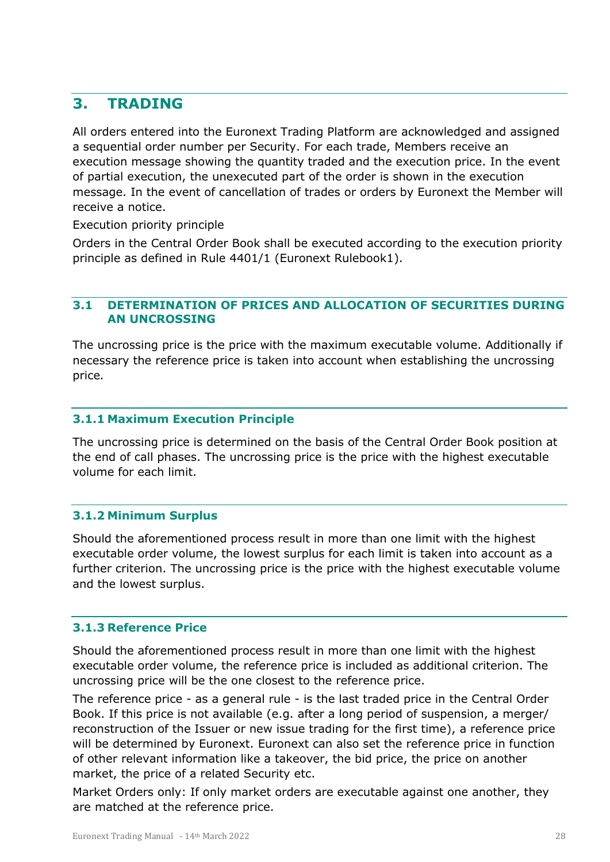## <span id="page-27-0"></span>**3. TRADING**

All orders entered into the Euronext Trading Platform are acknowledged and assigned a sequential order number per Security. For each trade, Members receive an execution message showing the quantity traded and the execution price. In the event of partial execution, the unexecuted part of the order is shown in the execution message. In the event of cancellation of trades or orders by Euronext the Member will receive a notice.

Execution priority principle

Orders in the Central Order Book shall be executed according to the execution priority principle as defined in Rule 4401/1 (Euronext Rulebook1).

#### <span id="page-27-1"></span>**3.1 DETERMINATION OF PRICES AND ALLOCATION OF SECURITIES DURING AN UNCROSSING**

The uncrossing price is the price with the maximum executable volume. Additionally if necessary the reference price is taken into account when establishing the uncrossing price*.*

#### <span id="page-27-2"></span>**3.1.1 Maximum Execution Principle**

The uncrossing price is determined on the basis of the Central Order Book position at the end of call phases. The uncrossing price is the price with the highest executable volume for each limit.

#### <span id="page-27-3"></span>**3.1.2 Minimum Surplus**

Should the aforementioned process result in more than one limit with the highest executable order volume, the lowest surplus for each limit is taken into account as a further criterion. The uncrossing price is the price with the highest executable volume and the lowest surplus.

#### <span id="page-27-4"></span>**3.1.3 Reference Price**

Should the aforementioned process result in more than one limit with the highest executable order volume, the reference price is included as additional criterion. The uncrossing price will be the one closest to the reference price.

The reference price - as a general rule - is the last traded price in the Central Order Book. If this price is not available (e.g. after a long period of suspension, a merger/ reconstruction of the Issuer or new issue trading for the first time), a reference price will be determined by Euronext. Euronext can also set the reference price in function of other relevant information like a takeover, the bid price, the price on another market, the price of a related Security etc.

Market Orders only: If only market orders are executable against one another, they are matched at the reference price.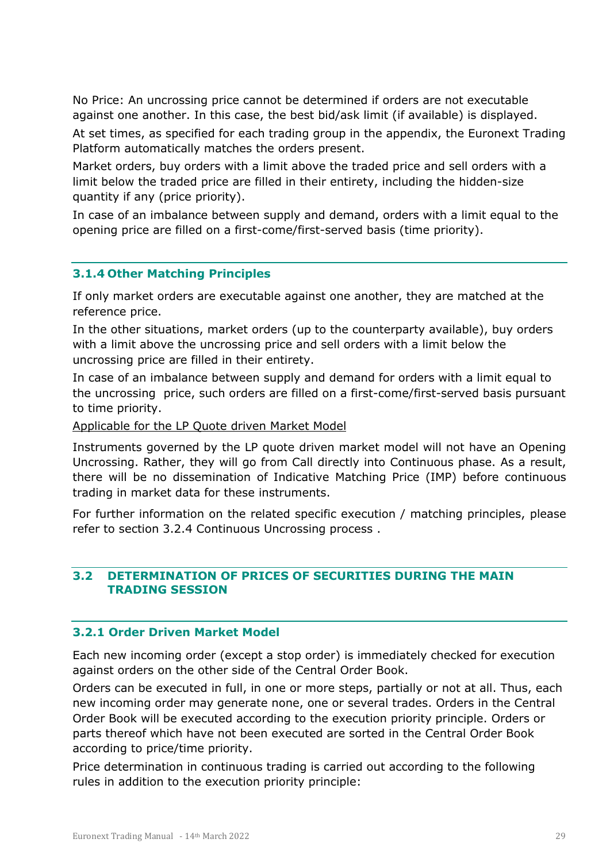No Price: An uncrossing price cannot be determined if orders are not executable against one another. In this case, the best bid/ask limit (if available) is displayed.

At set times, as specified for each trading group in the appendix, the Euronext Trading Platform automatically matches the orders present.

Market orders, buy orders with a limit above the traded price and sell orders with a limit below the traded price are filled in their entirety, including the hidden-size quantity if any (price priority).

In case of an imbalance between supply and demand, orders with a limit equal to the opening price are filled on a first-come/first-served basis (time priority).

#### <span id="page-28-0"></span>**3.1.4 Other Matching Principles**

If only market orders are executable against one another, they are matched at the reference price.

In the other situations, market orders (up to the counterparty available), buy orders with a limit above the uncrossing price and sell orders with a limit below the uncrossing price are filled in their entirety.

In case of an imbalance between supply and demand for orders with a limit equal to the uncrossing price, such orders are filled on a first-come/first-served basis pursuant to time priority.

Applicable for the LP Quote driven Market Model

Instruments governed by the LP quote driven market model will not have an Opening Uncrossing. Rather, they will go from Call directly into Continuous phase. As a result, there will be no dissemination of Indicative Matching Price (IMP) before continuous trading in market data for these instruments.

For further information on the related specific execution / matching principles, please refer to section 3.2.4 Continuous Uncrossing process .

#### <span id="page-28-1"></span>**3.2 DETERMINATION OF PRICES OF SECURITIES DURING THE MAIN TRADING SESSION**

#### <span id="page-28-2"></span>**3.2.1 Order Driven Market Model**

Each new incoming order (except a stop order) is immediately checked for execution against orders on the other side of the Central Order Book.

Orders can be executed in full, in one or more steps, partially or not at all. Thus, each new incoming order may generate none, one or several trades. Orders in the Central Order Book will be executed according to the execution priority principle. Orders or parts thereof which have not been executed are sorted in the Central Order Book according to price/time priority.

Price determination in continuous trading is carried out according to the following rules in addition to the execution priority principle: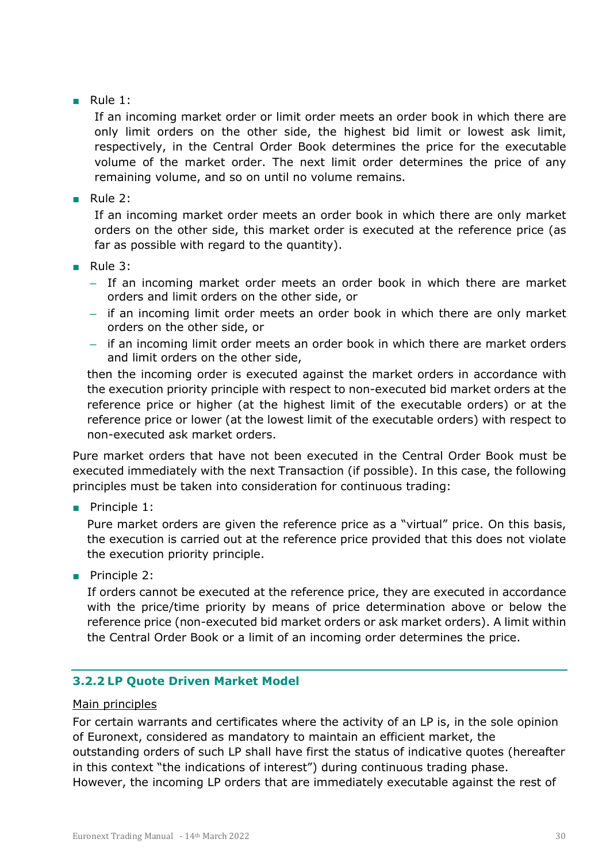■ Rule 1:

If an incoming market order or limit order meets an order book in which there are only limit orders on the other side, the highest bid limit or lowest ask limit, respectively, in the Central Order Book determines the price for the executable volume of the market order. The next limit order determines the price of any remaining volume, and so on until no volume remains.

■ Rule 2:

If an incoming market order meets an order book in which there are only market orders on the other side, this market order is executed at the reference price (as far as possible with regard to the quantity).

- Rule 3:
	- If an incoming market order meets an order book in which there are market orders and limit orders on the other side, or
	- if an incoming limit order meets an order book in which there are only market orders on the other side, or
	- if an incoming limit order meets an order book in which there are market orders and limit orders on the other side,

then the incoming order is executed against the market orders in accordance with the execution priority principle with respect to non-executed bid market orders at the reference price or higher (at the highest limit of the executable orders) or at the reference price or lower (at the lowest limit of the executable orders) with respect to non-executed ask market orders.

Pure market orders that have not been executed in the Central Order Book must be executed immediately with the next Transaction (if possible). In this case, the following principles must be taken into consideration for continuous trading:

■ Principle 1:

Pure market orders are given the reference price as a "virtual" price. On this basis, the execution is carried out at the reference price provided that this does not violate the execution priority principle.

■ Principle 2:

If orders cannot be executed at the reference price, they are executed in accordance with the price/time priority by means of price determination above or below the reference price (non-executed bid market orders or ask market orders). A limit within the Central Order Book or a limit of an incoming order determines the price.

#### <span id="page-29-0"></span>**3.2.2 LP Quote Driven Market Model**

#### Main principles

For certain warrants and certificates where the activity of an LP is, in the sole opinion of Euronext, considered as mandatory to maintain an efficient market, the outstanding orders of such LP shall have first the status of indicative quotes (hereafter in this context "the indications of interest") during continuous trading phase. However, the incoming LP orders that are immediately executable against the rest of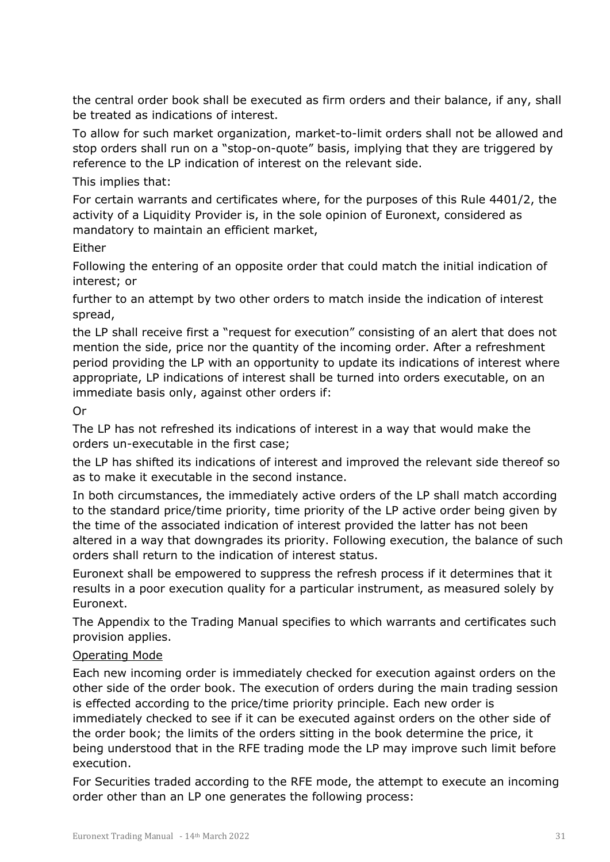the central order book shall be executed as firm orders and their balance, if any, shall be treated as indications of interest.

To allow for such market organization, market-to-limit orders shall not be allowed and stop orders shall run on a "stop-on-quote" basis, implying that they are triggered by reference to the LP indication of interest on the relevant side.

#### This implies that:

For certain warrants and certificates where, for the purposes of this Rule 4401/2, the activity of a Liquidity Provider is, in the sole opinion of Euronext, considered as mandatory to maintain an efficient market,

#### Either

Following the entering of an opposite order that could match the initial indication of interest; or

further to an attempt by two other orders to match inside the indication of interest spread,

the LP shall receive first a "request for execution" consisting of an alert that does not mention the side, price nor the quantity of the incoming order. After a refreshment period providing the LP with an opportunity to update its indications of interest where appropriate, LP indications of interest shall be turned into orders executable, on an immediate basis only, against other orders if:

#### Or

The LP has not refreshed its indications of interest in a way that would make the orders un-executable in the first case;

the LP has shifted its indications of interest and improved the relevant side thereof so as to make it executable in the second instance.

In both circumstances, the immediately active orders of the LP shall match according to the standard price/time priority, time priority of the LP active order being given by the time of the associated indication of interest provided the latter has not been altered in a way that downgrades its priority. Following execution, the balance of such orders shall return to the indication of interest status.

Euronext shall be empowered to suppress the refresh process if it determines that it results in a poor execution quality for a particular instrument, as measured solely by Euronext.

The Appendix to the Trading Manual specifies to which warrants and certificates such provision applies.

#### Operating Mode

Each new incoming order is immediately checked for execution against orders on the other side of the order book. The execution of orders during the main trading session is effected according to the price/time priority principle. Each new order is immediately checked to see if it can be executed against orders on the other side of the order book; the limits of the orders sitting in the book determine the price, it being understood that in the RFE trading mode the LP may improve such limit before execution.

For Securities traded according to the RFE mode, the attempt to execute an incoming order other than an LP one generates the following process: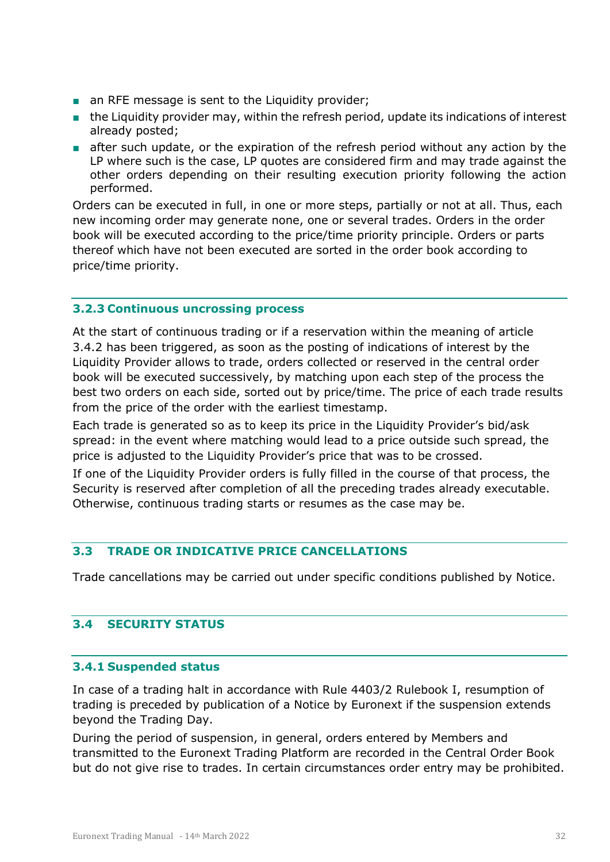- an RFE message is sent to the Liquidity provider;
- the Liquidity provider may, within the refresh period, update its indications of interest already posted;
- after such update, or the expiration of the refresh period without any action by the LP where such is the case, LP quotes are considered firm and may trade against the other orders depending on their resulting execution priority following the action performed.

Orders can be executed in full, in one or more steps, partially or not at all. Thus, each new incoming order may generate none, one or several trades. Orders in the order book will be executed according to the price/time priority principle. Orders or parts thereof which have not been executed are sorted in the order book according to price/time priority.

#### <span id="page-31-0"></span>**3.2.3 Continuous uncrossing process**

At the start of continuous trading or if a reservation within the meaning of article 3.4.2 has been triggered, as soon as the posting of indications of interest by the Liquidity Provider allows to trade, orders collected or reserved in the central order book will be executed successively, by matching upon each step of the process the best two orders on each side, sorted out by price/time. The price of each trade results from the price of the order with the earliest timestamp.

Each trade is generated so as to keep its price in the Liquidity Provider's bid/ask spread: in the event where matching would lead to a price outside such spread, the price is adjusted to the Liquidity Provider's price that was to be crossed.

If one of the Liquidity Provider orders is fully filled in the course of that process, the Security is reserved after completion of all the preceding trades already executable. Otherwise, continuous trading starts or resumes as the case may be.

#### <span id="page-31-1"></span>**3.3 TRADE OR INDICATIVE PRICE CANCELLATIONS**

<span id="page-31-2"></span>Trade cancellations may be carried out under specific conditions published by Notice.

#### **3.4 SECURITY STATUS**

#### <span id="page-31-3"></span>**3.4.1 Suspended status**

In case of a trading halt in accordance with Rule 4403/2 Rulebook I, resumption of trading is preceded by publication of a Notice by Euronext if the suspension extends beyond the Trading Day.

During the period of suspension, in general, orders entered by Members and transmitted to the Euronext Trading Platform are recorded in the Central Order Book but do not give rise to trades. In certain circumstances order entry may be prohibited.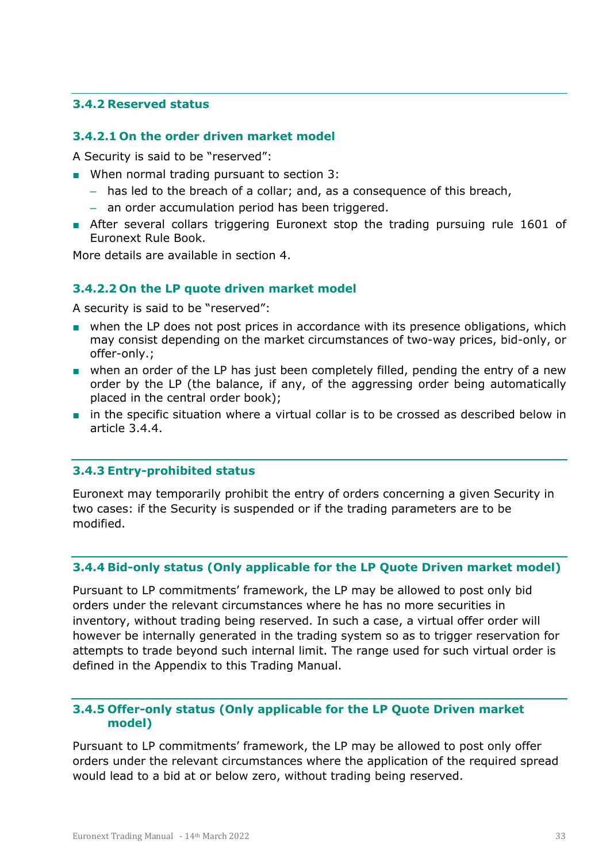#### <span id="page-32-0"></span>**3.4.2 Reserved status**

#### <span id="page-32-1"></span>**3.4.2.1 On the order driven market model**

A Security is said to be "reserved":

- When normal trading pursuant to section 3:
	- has led to the breach of a collar; and, as a consequence of this breach,
	- an order accumulation period has been triggered.
- After several collars triggering Euronext stop the trading pursuing rule 1601 of Euronext Rule Book.

<span id="page-32-2"></span>More details are available in section 4.

#### **3.4.2.2 On the LP quote driven market model**

A security is said to be "reserved":

- when the LP does not post prices in accordance with its presence obligations, which may consist depending on the market circumstances of two-way prices, bid-only, or offer-only.;
- when an order of the LP has just been completely filled, pending the entry of a new order by the LP (the balance, if any, of the aggressing order being automatically placed in the central order book);
- in the specific situation where a virtual collar is to be crossed as described below in article 3.4.4.

#### <span id="page-32-3"></span>**3.4.3 Entry-prohibited status**

Euronext may temporarily prohibit the entry of orders concerning a given Security in two cases: if the Security is suspended or if the trading parameters are to be modified.

#### <span id="page-32-4"></span>**3.4.4 Bid-only status (Only applicable for the LP Quote Driven market model)**

Pursuant to LP commitments' framework, the LP may be allowed to post only bid orders under the relevant circumstances where he has no more securities in inventory, without trading being reserved. In such a case, a virtual offer order will however be internally generated in the trading system so as to trigger reservation for attempts to trade beyond such internal limit. The range used for such virtual order is defined in the Appendix to this Trading Manual.

#### <span id="page-32-5"></span>**3.4.5 Offer-only status (Only applicable for the LP Quote Driven market model)**

Pursuant to LP commitments' framework, the LP may be allowed to post only offer orders under the relevant circumstances where the application of the required spread would lead to a bid at or below zero, without trading being reserved.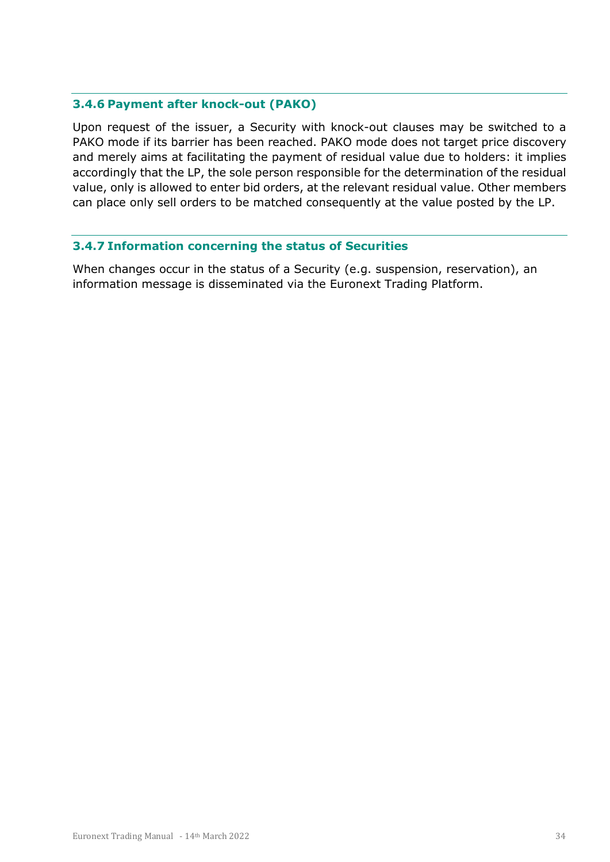#### <span id="page-33-0"></span>**3.4.6 Payment after knock-out (PAKO)**

Upon request of the issuer, a Security with knock-out clauses may be switched to a PAKO mode if its barrier has been reached. PAKO mode does not target price discovery and merely aims at facilitating the payment of residual value due to holders: it implies accordingly that the LP, the sole person responsible for the determination of the residual value, only is allowed to enter bid orders, at the relevant residual value. Other members can place only sell orders to be matched consequently at the value posted by the LP.

#### <span id="page-33-1"></span>**3.4.7 Information concerning the status of Securities**

When changes occur in the status of a Security (e.g. suspension, reservation), an information message is disseminated via the Euronext Trading Platform.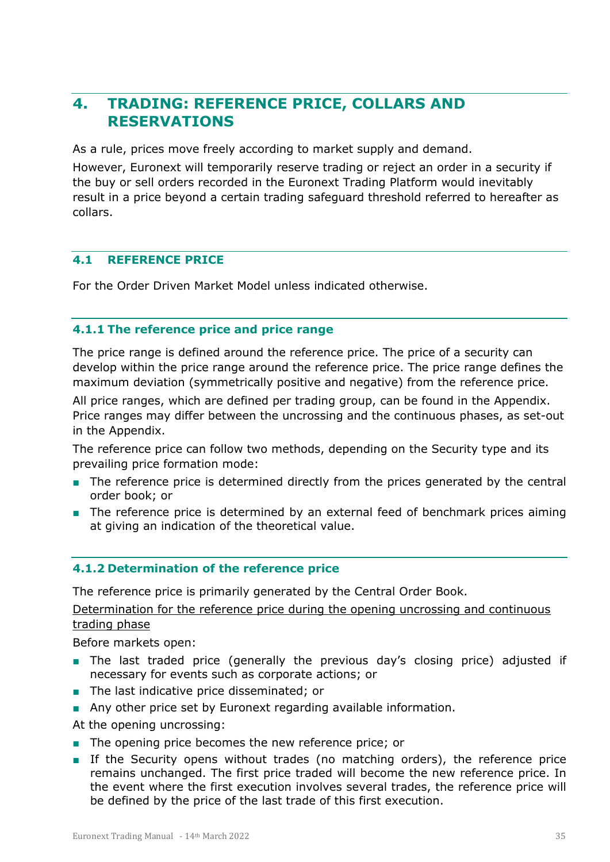# <span id="page-34-0"></span>**4. TRADING: REFERENCE PRICE, COLLARS AND RESERVATIONS**

As a rule, prices move freely according to market supply and demand.

However, Euronext will temporarily reserve trading or reject an order in a security if the buy or sell orders recorded in the Euronext Trading Platform would inevitably result in a price beyond a certain trading safeguard threshold referred to hereafter as collars.

#### <span id="page-34-1"></span>**4.1 REFERENCE PRICE**

<span id="page-34-2"></span>For the Order Driven Market Model unless indicated otherwise.

#### **4.1.1 The reference price and price range**

The price range is defined around the reference price. The price of a security can develop within the price range around the reference price. The price range defines the maximum deviation (symmetrically positive and negative) from the reference price.

All price ranges, which are defined per trading group, can be found in the Appendix. Price ranges may differ between the uncrossing and the continuous phases, as set-out in the Appendix.

The reference price can follow two methods, depending on the Security type and its prevailing price formation mode:

- The reference price is determined directly from the prices generated by the central order book; or
- The reference price is determined by an external feed of benchmark prices aiming at giving an indication of the theoretical value.

#### <span id="page-34-3"></span>**4.1.2 Determination of the reference price**

The reference price is primarily generated by the Central Order Book.

Determination for the reference price during the opening uncrossing and continuous trading phase

Before markets open:

- The last traded price (generally the previous day's closing price) adjusted if necessary for events such as corporate actions; or
- The last indicative price disseminated; or
- Any other price set by Euronext regarding available information.

At the opening uncrossing:

- The opening price becomes the new reference price; or
- If the Security opens without trades (no matching orders), the reference price remains unchanged. The first price traded will become the new reference price. In the event where the first execution involves several trades, the reference price will be defined by the price of the last trade of this first execution.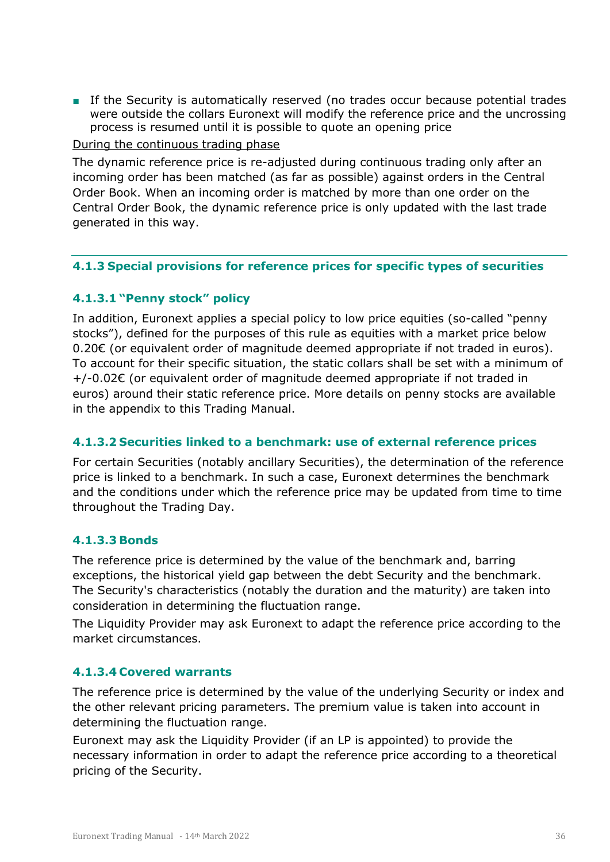■ If the Security is automatically reserved (no trades occur because potential trades were outside the collars Euronext will modify the reference price and the uncrossing process is resumed until it is possible to quote an opening price

During the continuous trading phase

The dynamic reference price is re-adjusted during continuous trading only after an incoming order has been matched (as far as possible) against orders in the Central Order Book. When an incoming order is matched by more than one order on the Central Order Book, the dynamic reference price is only updated with the last trade generated in this way.

#### <span id="page-35-0"></span>**4.1.3 Special provisions for reference prices for specific types of securities**

#### <span id="page-35-1"></span>**4.1.3.1 "Penny stock" policy**

In addition, Euronext applies a special policy to low price equities (so-called "penny stocks"), defined for the purposes of this rule as equities with a market price below 0.20€ (or equivalent order of magnitude deemed appropriate if not traded in euros). To account for their specific situation, the static collars shall be set with a minimum of +/-0.02€ (or equivalent order of magnitude deemed appropriate if not traded in euros) around their static reference price. More details on penny stocks are available in the appendix to this Trading Manual.

#### <span id="page-35-2"></span>**4.1.3.2 Securities linked to a benchmark: use of external reference prices**

For certain Securities (notably ancillary Securities), the determination of the reference price is linked to a benchmark. In such a case, Euronext determines the benchmark and the conditions under which the reference price may be updated from time to time throughout the Trading Day.

#### <span id="page-35-3"></span>**4.1.3.3 Bonds**

The reference price is determined by the value of the benchmark and, barring exceptions, the historical yield gap between the debt Security and the benchmark. The Security's characteristics (notably the duration and the maturity) are taken into consideration in determining the fluctuation range.

The Liquidity Provider may ask Euronext to adapt the reference price according to the market circumstances.

#### <span id="page-35-4"></span>**4.1.3.4 Covered warrants**

The reference price is determined by the value of the underlying Security or index and the other relevant pricing parameters. The premium value is taken into account in determining the fluctuation range.

Euronext may ask the Liquidity Provider (if an LP is appointed) to provide the necessary information in order to adapt the reference price according to a theoretical pricing of the Security.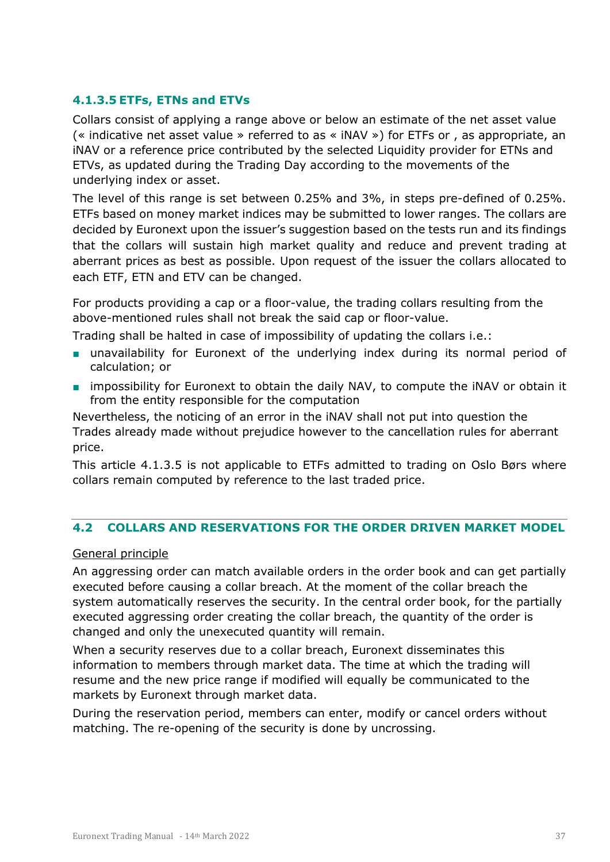#### <span id="page-36-0"></span>**4.1.3.5 ETFs, ETNs and ETVs**

Collars consist of applying a range above or below an estimate of the net asset value (« indicative net asset value » referred to as « iNAV ») for ETFs or , as appropriate, an iNAV or a reference price contributed by the selected Liquidity provider for ETNs and ETVs, as updated during the Trading Day according to the movements of the underlying index or asset.

The level of this range is set between 0.25% and 3%, in steps pre-defined of 0.25%. ETFs based on money market indices may be submitted to lower ranges. The collars are decided by Euronext upon the issuer's suggestion based on the tests run and its findings that the collars will sustain high market quality and reduce and prevent trading at aberrant prices as best as possible. Upon request of the issuer the collars allocated to each ETF, ETN and ETV can be changed.

For products providing a cap or a floor-value, the trading collars resulting from the above-mentioned rules shall not break the said cap or floor-value.

Trading shall be halted in case of impossibility of updating the collars i.e.:

- unavailability for Euronext of the underlying index during its normal period of calculation; or
- impossibility for Euronext to obtain the daily NAV, to compute the iNAV or obtain it from the entity responsible for the computation

Nevertheless, the noticing of an error in the iNAV shall not put into question the Trades already made without prejudice however to the cancellation rules for aberrant price.

This article 4.1.3.5 is not applicable to ETFs admitted to trading on Oslo Børs where collars remain computed by reference to the last traded price.

#### <span id="page-36-1"></span>**4.2 COLLARS AND RESERVATIONS FOR THE ORDER DRIVEN MARKET MODEL**

#### General principle

An aggressing order can match available orders in the order book and can get partially executed before causing a collar breach. At the moment of the collar breach the system automatically reserves the security. In the central order book, for the partially executed aggressing order creating the collar breach, the quantity of the order is changed and only the unexecuted quantity will remain.

When a security reserves due to a collar breach, Euronext disseminates this information to members through market data. The time at which the trading will resume and the new price range if modified will equally be communicated to the markets by Euronext through market data.

During the reservation period, members can enter, modify or cancel orders without matching. The re-opening of the security is done by uncrossing.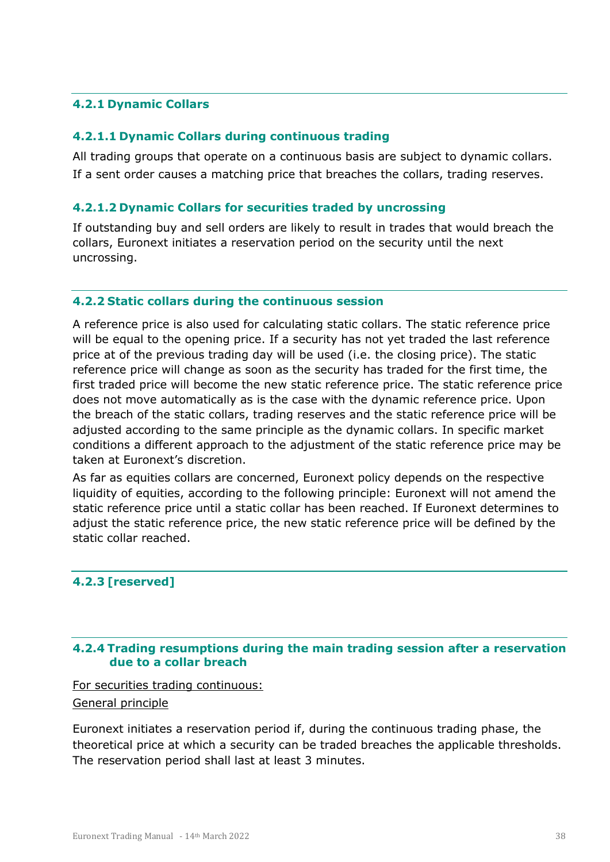#### <span id="page-37-0"></span>**4.2.1 Dynamic Collars**

#### <span id="page-37-1"></span>**4.2.1.1 Dynamic Collars during continuous trading**

All trading groups that operate on a continuous basis are subject to dynamic collars. If a sent order causes a matching price that breaches the collars, trading reserves.

#### <span id="page-37-2"></span>**4.2.1.2 Dynamic Collars for securities traded by uncrossing**

If outstanding buy and sell orders are likely to result in trades that would breach the collars, Euronext initiates a reservation period on the security until the next uncrossing.

#### <span id="page-37-3"></span>**4.2.2 Static collars during the continuous session**

A reference price is also used for calculating static collars. The static reference price will be equal to the opening price. If a security has not yet traded the last reference price at of the previous trading day will be used (i.e. the closing price). The static reference price will change as soon as the security has traded for the first time, the first traded price will become the new static reference price. The static reference price does not move automatically as is the case with the dynamic reference price. Upon the breach of the static collars, trading reserves and the static reference price will be adjusted according to the same principle as the dynamic collars. In specific market conditions a different approach to the adjustment of the static reference price may be taken at Euronext's discretion.

As far as equities collars are concerned, Euronext policy depends on the respective liquidity of equities, according to the following principle: Euronext will not amend the static reference price until a static collar has been reached. If Euronext determines to adjust the static reference price, the new static reference price will be defined by the static collar reached.

#### <span id="page-37-4"></span>**4.2.3 [reserved]**

#### <span id="page-37-5"></span>**4.2.4 Trading resumptions during the main trading session after a reservation due to a collar breach**

For securities trading continuous:

General principle

Euronext initiates a reservation period if, during the continuous trading phase, the theoretical price at which a security can be traded breaches the applicable thresholds. The reservation period shall last at least 3 minutes.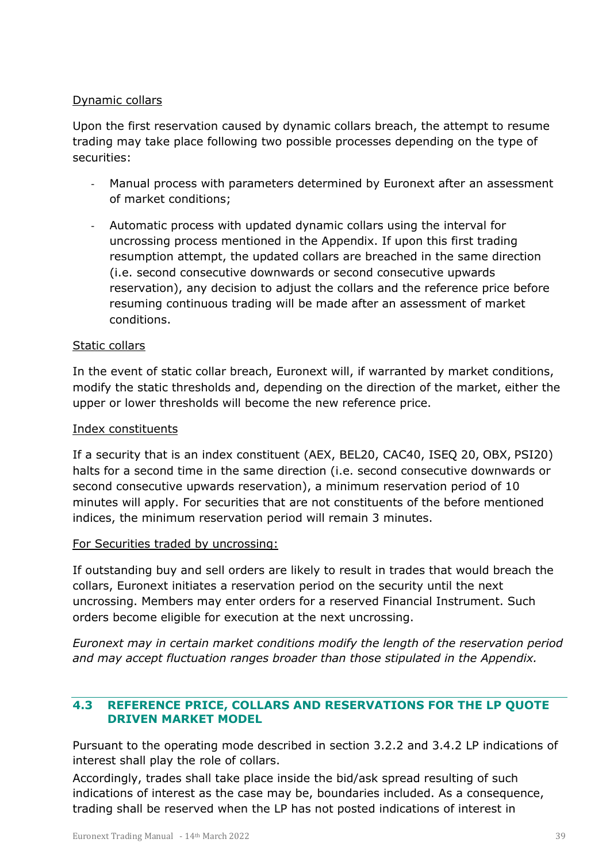#### Dynamic collars

Upon the first reservation caused by dynamic collars breach, the attempt to resume trading may take place following two possible processes depending on the type of securities:

- Manual process with parameters determined by Euronext after an assessment of market conditions;
- Automatic process with updated dynamic collars using the interval for uncrossing process mentioned in the Appendix. If upon this first trading resumption attempt, the updated collars are breached in the same direction (i.e. second consecutive downwards or second consecutive upwards reservation), any decision to adjust the collars and the reference price before resuming continuous trading will be made after an assessment of market conditions.

#### Static collars

In the event of static collar breach, Euronext will, if warranted by market conditions, modify the static thresholds and, depending on the direction of the market, either the upper or lower thresholds will become the new reference price.

#### Index constituents

If a security that is an index constituent (AEX, BEL20, CAC40, ISEQ 20, OBX, PSI20) halts for a second time in the same direction (i.e. second consecutive downwards or second consecutive upwards reservation), a minimum reservation period of 10 minutes will apply. For securities that are not constituents of the before mentioned indices, the minimum reservation period will remain 3 minutes.

#### For Securities traded by uncrossing:

If outstanding buy and sell orders are likely to result in trades that would breach the collars, Euronext initiates a reservation period on the security until the next uncrossing. Members may enter orders for a reserved Financial Instrument. Such orders become eligible for execution at the next uncrossing.

*Euronext may in certain market conditions modify the length of the reservation period and may accept fluctuation ranges broader than those stipulated in the Appendix.*

#### <span id="page-38-0"></span>**4.3 REFERENCE PRICE, COLLARS AND RESERVATIONS FOR THE LP QUOTE DRIVEN MARKET MODEL**

Pursuant to the operating mode described in section 3.2.2 and 3.4.2 LP indications of interest shall play the role of collars.

Accordingly, trades shall take place inside the bid/ask spread resulting of such indications of interest as the case may be, boundaries included. As a consequence, trading shall be reserved when the LP has not posted indications of interest in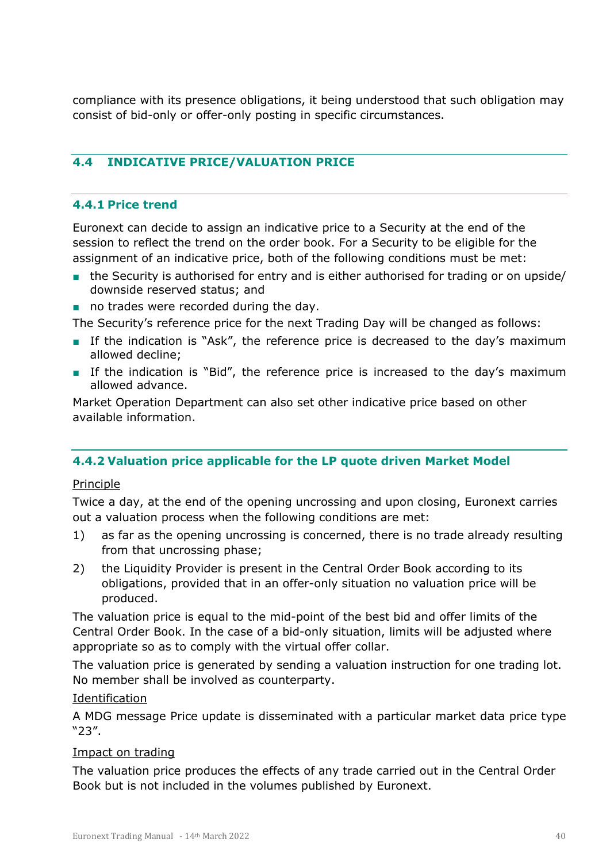compliance with its presence obligations, it being understood that such obligation may consist of bid-only or offer-only posting in specific circumstances.

#### <span id="page-39-0"></span>**4.4 INDICATIVE PRICE/VALUATION PRICE**

#### <span id="page-39-1"></span>**4.4.1 Price trend**

Euronext can decide to assign an indicative price to a Security at the end of the session to reflect the trend on the order book. For a Security to be eligible for the assignment of an indicative price, both of the following conditions must be met:

- the Security is authorised for entry and is either authorised for trading or on upside/ downside reserved status; and
- no trades were recorded during the day.

The Security's reference price for the next Trading Day will be changed as follows:

- If the indication is "Ask", the reference price is decreased to the day's maximum allowed decline;
- If the indication is "Bid", the reference price is increased to the day's maximum allowed advance.

Market Operation Department can also set other indicative price based on other available information.

#### <span id="page-39-2"></span>**4.4.2 Valuation price applicable for the LP quote driven Market Model**

#### Principle

Twice a day, at the end of the opening uncrossing and upon closing, Euronext carries out a valuation process when the following conditions are met:

- 1) as far as the opening uncrossing is concerned, there is no trade already resulting from that uncrossing phase;
- 2) the Liquidity Provider is present in the Central Order Book according to its obligations, provided that in an offer-only situation no valuation price will be produced.

The valuation price is equal to the mid-point of the best bid and offer limits of the Central Order Book. In the case of a bid-only situation, limits will be adjusted where appropriate so as to comply with the virtual offer collar.

The valuation price is generated by sending a valuation instruction for one trading lot. No member shall be involved as counterparty.

#### Identification

A MDG message Price update is disseminated with a particular market data price type "23".

#### Impact on trading

The valuation price produces the effects of any trade carried out in the Central Order Book but is not included in the volumes published by Euronext.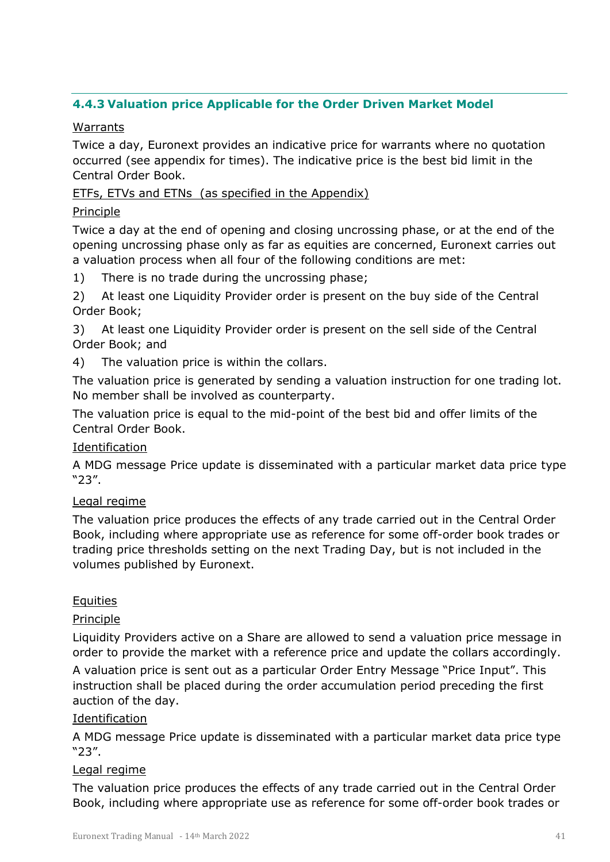#### <span id="page-40-0"></span>**4.4.3 Valuation price Applicable for the Order Driven Market Model**

#### Warrants

Twice a day, Euronext provides an indicative price for warrants where no quotation occurred (see appendix for times). The indicative price is the best bid limit in the Central Order Book.

#### ETFs, ETVs and ETNs (as specified in the Appendix)

#### Principle

Twice a day at the end of opening and closing uncrossing phase, or at the end of the opening uncrossing phase only as far as equities are concerned, Euronext carries out a valuation process when all four of the following conditions are met:

1) There is no trade during the uncrossing phase;

2) At least one Liquidity Provider order is present on the buy side of the Central Order Book;

3) At least one Liquidity Provider order is present on the sell side of the Central Order Book; and

4) The valuation price is within the collars.

The valuation price is generated by sending a valuation instruction for one trading lot. No member shall be involved as counterparty.

The valuation price is equal to the mid-point of the best bid and offer limits of the Central Order Book.

#### Identification

A MDG message Price update is disseminated with a particular market data price type "23".

#### Legal regime

The valuation price produces the effects of any trade carried out in the Central Order Book, including where appropriate use as reference for some off-order book trades or trading price thresholds setting on the next Trading Day, but is not included in the volumes published by Euronext.

#### **Equities**

#### Principle

Liquidity Providers active on a Share are allowed to send a valuation price message in order to provide the market with a reference price and update the collars accordingly.

A valuation price is sent out as a particular Order Entry Message "Price Input". This instruction shall be placed during the order accumulation period preceding the first auction of the day.

#### Identification

A MDG message Price update is disseminated with a particular market data price type "23".

#### Legal regime

The valuation price produces the effects of any trade carried out in the Central Order Book, including where appropriate use as reference for some off-order book trades or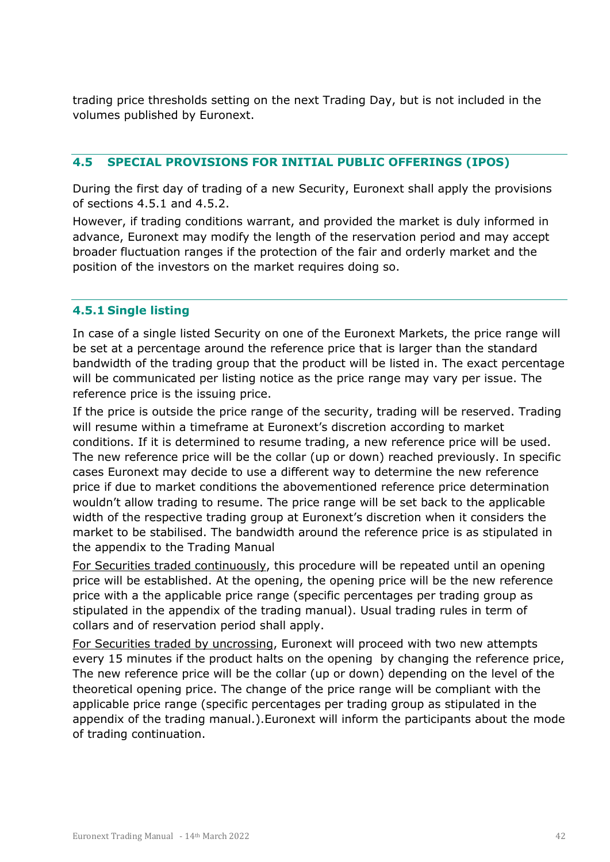trading price thresholds setting on the next Trading Day, but is not included in the volumes published by Euronext.

#### <span id="page-41-0"></span>**4.5 SPECIAL PROVISIONS FOR INITIAL PUBLIC OFFERINGS (IPOS)**

During the first day of trading of a new Security, Euronext shall apply the provisions of sections 4.5.1 and 4.5.2.

However, if trading conditions warrant, and provided the market is duly informed in advance, Euronext may modify the length of the reservation period and may accept broader fluctuation ranges if the protection of the fair and orderly market and the position of the investors on the market requires doing so.

#### <span id="page-41-1"></span>**4.5.1 Single listing**

In case of a single listed Security on one of the Euronext Markets, the price range will be set at a percentage around the reference price that is larger than the standard bandwidth of the trading group that the product will be listed in. The exact percentage will be communicated per listing notice as the price range may vary per issue. The reference price is the issuing price.

If the price is outside the price range of the security, trading will be reserved. Trading will resume within a timeframe at Euronext's discretion according to market conditions. If it is determined to resume trading, a new reference price will be used. The new reference price will be the collar (up or down) reached previously. In specific cases Euronext may decide to use a different way to determine the new reference price if due to market conditions the abovementioned reference price determination wouldn't allow trading to resume. The price range will be set back to the applicable width of the respective trading group at Euronext's discretion when it considers the market to be stabilised. The bandwidth around the reference price is as stipulated in the appendix to the Trading Manual

For Securities traded continuously, this procedure will be repeated until an opening price will be established. At the opening, the opening price will be the new reference price with a the applicable price range (specific percentages per trading group as stipulated in the appendix of the trading manual). Usual trading rules in term of collars and of reservation period shall apply.

For Securities traded by uncrossing, Euronext will proceed with two new attempts every 15 minutes if the product halts on the opening by changing the reference price, The new reference price will be the collar (up or down) depending on the level of the theoretical opening price. The change of the price range will be compliant with the applicable price range (specific percentages per trading group as stipulated in the appendix of the trading manual.).Euronext will inform the participants about the mode of trading continuation.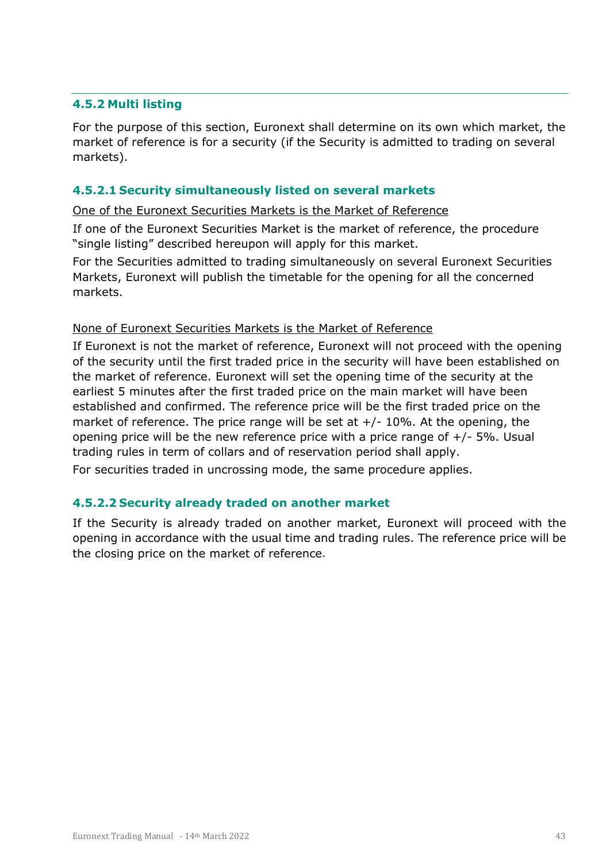#### <span id="page-42-0"></span>**4.5.2 Multi listing**

For the purpose of this section, Euronext shall determine on its own which market, the market of reference is for a security (if the Security is admitted to trading on several markets).

#### <span id="page-42-1"></span>**4.5.2.1 Security simultaneously listed on several markets**

One of the Euronext Securities Markets is the Market of Reference

If one of the Euronext Securities Market is the market of reference, the procedure "single listing" described hereupon will apply for this market.

For the Securities admitted to trading simultaneously on several Euronext Securities Markets, Euronext will publish the timetable for the opening for all the concerned markets.

#### None of Euronext Securities Markets is the Market of Reference

If Euronext is not the market of reference, Euronext will not proceed with the opening of the security until the first traded price in the security will have been established on the market of reference. Euronext will set the opening time of the security at the earliest 5 minutes after the first traded price on the main market will have been established and confirmed. The reference price will be the first traded price on the market of reference. The price range will be set at  $+/-10\%$ . At the opening, the opening price will be the new reference price with a price range of  $+/$ - 5%. Usual trading rules in term of collars and of reservation period shall apply.

For securities traded in uncrossing mode, the same procedure applies.

#### <span id="page-42-2"></span>**4.5.2.2 Security already traded on another market**

If the Security is already traded on another market, Euronext will proceed with the opening in accordance with the usual time and trading rules. The reference price will be the closing price on the market of reference.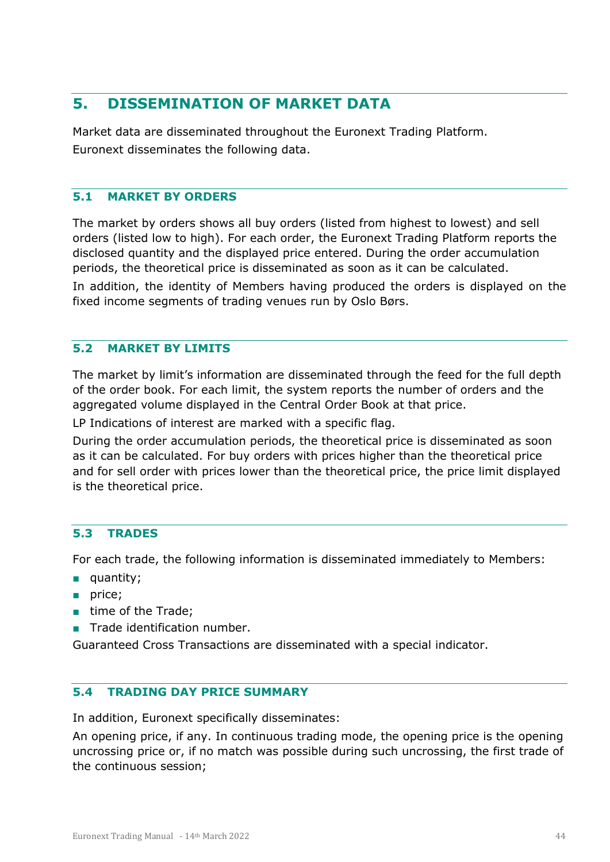# <span id="page-43-0"></span>**5. DISSEMINATION OF MARKET DATA**

Market data are disseminated throughout the Euronext Trading Platform. Euronext disseminates the following data.

#### <span id="page-43-1"></span>**5.1 MARKET BY ORDERS**

The market by orders shows all buy orders (listed from highest to lowest) and sell orders (listed low to high). For each order, the Euronext Trading Platform reports the disclosed quantity and the displayed price entered. During the order accumulation periods, the theoretical price is disseminated as soon as it can be calculated. In addition, the identity of Members having produced the orders is displayed on the fixed income segments of trading venues run by Oslo Børs.

#### <span id="page-43-2"></span>**5.2 MARKET BY LIMITS**

The market by limit's information are disseminated through the feed for the full depth of the order book. For each limit, the system reports the number of orders and the aggregated volume displayed in the Central Order Book at that price.

LP Indications of interest are marked with a specific flag.

During the order accumulation periods, the theoretical price is disseminated as soon as it can be calculated. For buy orders with prices higher than the theoretical price and for sell order with prices lower than the theoretical price, the price limit displayed is the theoretical price.

#### <span id="page-43-3"></span>**5.3 TRADES**

For each trade, the following information is disseminated immediately to Members:

- quantity;
- price;
- time of the Trade:
- Trade identification number.

<span id="page-43-4"></span>Guaranteed Cross Transactions are disseminated with a special indicator.

#### **5.4 TRADING DAY PRICE SUMMARY**

In addition, Euronext specifically disseminates:

An opening price, if any. In continuous trading mode, the opening price is the opening uncrossing price or, if no match was possible during such uncrossing, the first trade of the continuous session;